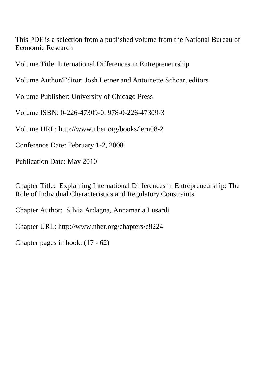This PDF is a selection from a published volume from the National Bureau of Economic Research

Volume Title: International Differences in Entrepreneurship

Volume Author/Editor: Josh Lerner and Antoinette Schoar, editors

Volume Publisher: University of Chicago Press

Volume ISBN: 0-226-47309-0; 978-0-226-47309-3

Volume URL: http://www.nber.org/books/lern08-2

Conference Date: February 1-2, 2008

Publication Date: May 2010

Chapter Title: Explaining International Differences in Entrepreneurship: The Role of Individual Characteristics and Regulatory Constraints

Chapter Author: Silvia Ardagna, Annamaria Lusardi

Chapter URL: http://www.nber.org/chapters/c8224

Chapter pages in book: (17 - 62)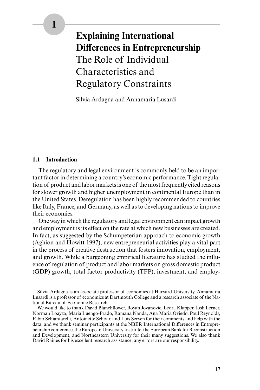# **Explaining International Differences in Entrepreneurship** The Role of Individual Characteristics and Regulatory Constraints

Silvia Ardagna and Annamaria Lusardi

#### **1.1 Introduction**

The regulatory and legal environment is commonly held to be an important factor in determining a country's economic performance. Tight regulation of product and labor markets is one of the most frequently cited reasons for slower growth and higher unemployment in continental Europe than in the United States. Deregulation has been highly recommended to countries like Italy, France, and Germany, as well as to developing nations to improve their economies.

One way in which the regulatory and legal environment can impact growth and employment is its effect on the rate at which new businesses are created. In fact, as suggested by the Schumpeterian approach to economic growth (Aghion and Howitt 1997), new entrepreneurial activities play a vital part in the process of creative destruction that fosters innovation, employment, and growth. While a burgeoning empirical literature has studied the influence of regulation of product and labor markets on gross domestic product (GDP) growth, total factor productivity (TFP), investment, and employ-

Silvia Ardagna is an associate professor of economics at Harvard University. Annamaria Lusardi is a professor of economics at Dartmouth College and a research associate of the National Bureau of Economic Research.

We would like to thank David Blanchflower, Boyan Jovanovic, Leora Klapper, Josh Lerner, Norman Loayza, Maria Luengo- Prado, Ramana Nanda, Ana Maria Oviedo, Paul Reynolds, Fabio Schiantarelli, Antoinette Schoar, and Luis Serven for their comments and help with the data, and we thank seminar participants at the NBER International Differences in Entrepreneurship conference, the European University Institute, the European Bank for Reconstruction and Development, and Northeastern University for their many suggestions. We also thank David Raines for his excellent research assistance; any errors are our responsibility.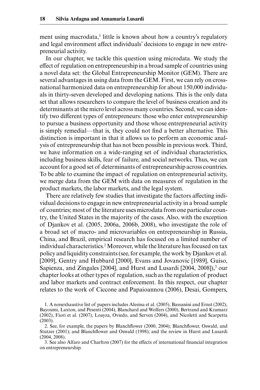ment using macrodata,<sup>1</sup> little is known about how a country's regulatory and legal environment affect individuals' decisions to engage in new entrepreneurial activity.

In our chapter, we tackle this question using microdata. We study the effect of regulation on entrepreneurship in a broad sample of countries using a novel data set: the Global Entrepreneurship Monitor (GEM). There are several advantages in using data from the GEM. First, we can rely on cross national harmonized data on entrepreneurship for about 150,000 individuals in thirty- seven developed and developing nations. This is the only data set that allows researchers to compare the level of business creation and its determinants at the micro level across many countries. Second, we can identify two different types of entrepreneurs: those who enter entrepreneurship to pursue a business opportunity and those whose entrepreneurial activity is simply remedial—that is, they could not find a better alternative. This distinction is important in that it allows us to perform an economic analysis of entrepreneurship that has not been possible in previous work. Third, we have information on a wide-ranging set of individual characteristics, including business skills, fear of failure, and social networks. Thus, we can account for a good set of determinants of entrepreneurship across countries. To be able to examine the impact of regulation on entrepreneurial activity, we merge data from the GEM with data on measures of regulation in the product markets, the labor markets, and the legal system.

There are relatively few studies that investigate the factors affecting individual decisions to engage in new entrepreneurial activity in a broad sample of countries; most of the literature uses microdata from one particular country, the United States in the majority of the cases. Also, with the exception of Djankov et al. (2005, 2006a, 2006b, 2008), who investigate the role of a broad set of macro- and microvariables on entrepreneurship in Russia, China, and Brazil, empirical research has focused on a limited number of individual characteristics.2 Moreover, while the literature has focused on tax policy and liquidity constraints (see, for example, the work by Djankov et al. [2009], Gentry and Hubbard [2000], Evans and Jovanovic [1989], Guiso, Sapienza, and Zingales [2004], and Hurst and Lusardi [2004, 2008]),<sup>3</sup> our chapter looks at other types of regulation, such as the regulation of product and labor markets and contract enforcement. In this respect, our chapter relates to the work of Ciccone and Papaioannou (2006), Desai, Gompers,

1. A nonexhaustive list of papers includes Alesina et al. (2005), Bassanini and Ernst (2002), Bayoumi, Laxton, and Pesenti (2004), Blanchard and Wolfers (2000), Bertrand and Kramarz (2002), Fiori et al. (2007), Loayza, Oviedo, and Serven (2004), and Nicoletti and Scarpetta (2003).

2. See, for example, the papers by Blanchflower (2000, 2004); Blanchflower, Oswald, and Stutzer (2001); and Blanchflower and Oswald (1998); and the review in Hurst and Lusardi (2004, 2008).

3. See also Alfaro and Charlton (2007) for the effects of international financial integration on entrepreneurship.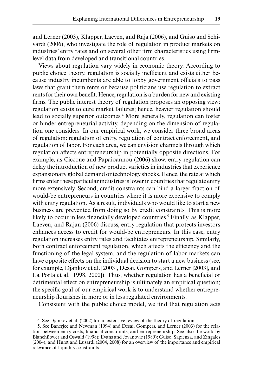and Lerner (2003), Klapper, Laeven, and Raja (2006), and Guiso and Schivardi (2006), who investigate the role of regulation in product markets on industries' entry rates and on several other firm characteristics using firmlevel data from developed and transitional countries.

Views about regulation vary widely in economic theory. According to public choice theory, regulation is socially inefficient and exists either because industry incumbents are able to lobby government officials to pass laws that grant them rents or because politicians use regulation to extract rents for their own benefit. Hence, regulation is a burden for new and existing firms. The public interest theory of regulation proposes an opposing view: regulation exists to cure market failures; hence, heavier regulation should lead to socially superior outcomes.<sup>4</sup> More generally, regulation can foster or hinder entrepreneurial activity, depending on the dimension of regulation one considers. In our empirical work, we consider three broad areas of regulation: regulation of entry, regulation of contract enforcement, and regulation of labor. For each area, we can envision channels through which regulation affects entrepreneurship in potentially opposite directions. For example, as Ciccone and Papaioannou (2006) show, entry regulation can delay the introduction of new product varieties in industries that experience expansionary global demand or technology shocks. Hence, the rate at which firms enter these particular industries is lower in countries that regulate entry more extensively. Second, credit constraints can bind a larger fraction of would- be entrepreneurs in countries where it is more expensive to comply with entry regulation. As a result, individuals who would like to start a new business are prevented from doing so by credit constraints. This is more likely to occur in less financially developed countries.<sup>5</sup> Finally, as Klapper, Laeven, and Rajan (2006) discuss, entry regulation that protects investors enhances access to credit for would-be entrepreneurs. In this case, entry regulation increases entry rates and facilitates entrepreneurship. Similarly, both contract enforcement regulation, which affects the efficiency and the functioning of the legal system, and the regulation of labor markets can have opposite effects on the individual decision to start a new business (see, for example, Djankov et al. [2003], Desai, Gompers, and Lerner [2003], and La Porta et al. [1998, 2000]). Thus, whether regulation has a beneficial or detrimental effect on entrepreneurship is ultimately an empirical question; the specific goal of our empirical work is to understand whether entrepreneurship flourishes in more or in less regulated environments.

Consistent with the public choice model, we find that regulation acts

<sup>4.</sup> See Djankov et al. (2002) for an extensive review of the theory of regulation.

<sup>5.</sup> See Banerjee and Newman (1994) and Desai, Gompers, and Lerner (2003) for the relation between entry costs, financial constraints, and entrepreneurship. See also the work by Blanchflower and Oswald (1998); Evans and Jovanovic (1989); Guiso, Sapienza, and Zingales (2004); and Hurst and Lusardi (2004, 2008) for an overview of the importance and empirical relevance of liquidity constraints.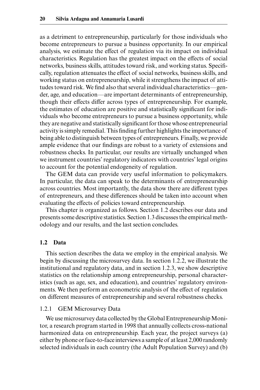as a detriment to entrepreneurship, particularly for those individuals who become entrepreneurs to pursue a business opportunity. In our empirical analysis, we estimate the effect of regulation via its impact on individual characteristics. Regulation has the greatest impact on the effects of social networks, business skills, attitudes toward risk, and working status. Specifically, regulation attenuates the effect of social networks, business skills, and working status on entrepreneurship, while it strengthens the impact of attitudes toward risk. We find also that several individual characteristics-gender, age, and education—are important determinants of entrepreneurship, though their effects differ across types of entrepreneurship. For example, the estimates of education are positive and statistically significant for individuals who become entrepreneurs to pursue a business opportunity, while they are negative and statistically significant for those whose entrepreneurial activity is simply remedial. This finding further highlights the importance of being able to distinguish between types of entrepreneurs. Finally, we provide ample evidence that our findings are robust to a variety of extensions and robustness checks. In particular, our results are virtually unchanged when we instrument countries' regulatory indicators with countries' legal origins to account for the potential endogeneity of regulation.

The GEM data can provide very useful information to policymakers. In particular, the data can speak to the determinants of entrepreneurship across countries. Most importantly, the data show there are different types of entrepreneurs, and these differences should be taken into account when evaluating the effects of policies toward entrepreneurship.

This chapter is organized as follows. Section 1.2 describes our data and presents some descriptive statistics. Section 1.3 discusses the empirical methodology and our results, and the last section concludes.

#### **1.2 Data**

This section describes the data we employ in the empirical analysis. We begin by discussing the microsurvey data. In section 1.2.2, we illustrate the institutional and regulatory data, and in section 1.2.3, we show descriptive statistics on the relationship among entrepreneurship, personal characteristics (such as age, sex, and education), and countries' regulatory environments. We then perform an econometric analysis of the effect of regulation on different measures of entrepreneurship and several robustness checks.

#### 1.2.1 GEM Microsurvey Data

We use microsurvey data collected by the Global Entrepreneurship Monitor, a research program started in 1998 that annually collects cross- national harmonized data on entrepreneurship. Each year, the project surveys (a) either by phone or face-to-face interviews a sample of at least 2,000 randomly selected individuals in each country (the Adult Population Survey) and (b)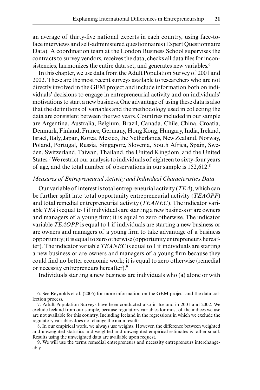an average of thirty-five national experts in each country, using face-to face interviews and self- administered questionnaires (Expert Questionnaire Data). A coordination team at the London Business School supervises the contracts to survey vendors, receives the data, checks all data files for inconsistencies, harmonizes the entire data set, and generates new variables.<sup>6</sup>

In this chapter, we use data from the Adult Population Survey of 2001 and 2002. These are the most recent surveys available to researchers who are not directly involved in the GEM project and include information both on individuals' decisions to engage in entrepreneurial activity and on individuals' motivations to start a new business. One advantage of using these data is also that the definitions of variables and the methodology used in collecting the data are consistent between the two years. Countries included in our sample are Argentina, Australia, Belgium, Brazil, Canada, Chile, China, Croatia, Denmark, Finland, France, Germany, Hong Kong, Hungary, India, Ireland, Israel, Italy, Japan, Korea, Mexico, the Netherlands, New Zealand, Norway, Poland, Portugal, Russia, Singapore, Slovenia, South Africa, Spain, Sweden, Switzerland, Taiwan, Thailand, the United Kingdom, and the United States.<sup>7</sup> We restrict our analysis to individuals of eighteen to sixty-four years of age, and the total number of observations in our sample is 152,612.8

#### *Measures of Entrepreneurial Activity and Individual Characteristics Data*

Our variable of interest is total entrepreneurial activity (*TEA*), which can be further split into total opportunity entrepreneurial activity (*TEAOPP*) and total remedial entrepreneurial activity (*TEANEC*). The indicator variable *TEA* is equal to 1 if individuals are starting a new business or are owners and managers of a young firm; it is equal to zero otherwise. The indicator variable *TEAOPP* is equal to 1 if individuals are starting a new business or are owners and managers of a young firm to take advantage of a business opportunity; it is equal to zero otherwise (opportunity entrepreneurs hereafter). The indicator variable *TEANEC* is equal to 1 if individuals are starting a new business or are owners and managers of a young firm because they could find no better economic work; it is equal to zero otherwise (remedial or necessity entrepreneurs hereafter).9

Individuals starting a new business are individuals who (a) alone or with

6. See Reynolds et al. (2005) for more information on the GEM project and the data collection process.

7. Adult Population Surveys have been conducted also in Iceland in 2001 and 2002. We exclude Iceland from our sample, because regulatory variables for most of the indices we use are not available for this country. Including Iceland in the regressions in which we exclude the regulatory variables does not change the main results.

8. In our empirical work, we always use weights. However, the difference between weighted and unweighted statistics and weighted and unweighted empirical estimates is rather small. Results using the unweighted data are available upon request.

9. We will use the terms remedial entrepreneurs and necessity entrepreneurs interchangeably.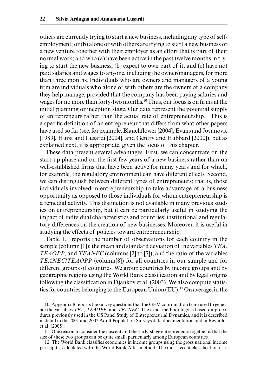others are currently trying to start a new business, including any type of self employment; or (b) alone or with others are trying to start a new business or a new venture together with their employer as an effort that is part of their normal work; and who (a) have been active in the past twelve months in trying to start the new business, (b) expect to own part of it, and (c) have not paid salaries and wages to anyone, including the owner/managers, for more than three months. Individuals who are owners and managers of a young firm are individuals who alone or with others are the owners of a company they help manage, provided that the company has been paying salaries and wages for no more than forty-two months.<sup>10</sup> Thus, our focus is on firms at the initial planning or inception stage. Our data represent the potential supply of entrepreneurs rather than the actual rate of entrepreneurship.11 This is a specific definition of an entrepreneur that differs from what other papers have used so far (see, for example, Blanchflower [2004], Evans and Jovanovic [1989], Hurst and Lusardi [2004], and Gentry and Hubbard [2000]), but as explained next, it is appropriate, given the focus of this chapter.

These data present several advantages. First, we can concentrate on the start-up phase and on the first few years of a new business rather than on well-established firms that have been active for many years and for which, for example, the regulatory environment can have different effects. Second, we can distinguish between different types of entrepreneurs; that is, those individuals involved in entrepreneurship to take advantage of a business opportunity as opposed to those individuals for whom entrepreneurship is a remedial activity. This distinction is not available in many previous studies on entrepreneurship, but it can be particularly useful in studying the impact of individual characteristics and countries' institutional and regulatory differences on the creation of new businesses. Moreover, it is useful in studying the effects of policies toward entrepreneurship.

Table 1.1 reports the number of observations for each country in the sample (column [1]); the mean and standard deviation of the variables *TEA*, *TEAOPP*, and *TEANEC* (columns [2] to [7]); and the ratio of the variables *TEANEC/ TEAOPP* (column[8]) for all countries in our sample and for different groups of countries. We group countries by income groups and by geographic regions using the World Bank classification and by legal origins following the classification in Djankov et al. (2003). We also compute statistics for countries belonging to the European Union (EU).12 On average, in the

10. Appendix B reports the survey questions that the GEM coordination team used to generate the variables *TEA*, *TEAOPP*, and *TEANEC*. The exact methodology is based on procedures previously used in the US Panel Study of Entrepreneurial Dynamics, and it is described in detail in the 2001 and 2002 Adult Population Surveys data documentation and in Reynolds et al. (2005).

11. One reason to consider the nascent and the early- stage entrepreneurs together is that the size of these two groups can be quite small, particularly among European countries.

12. The World Bank classifies economies in income groups using the gross national income per capita, calculated with the World Bank Atlas method. The most recent classification uses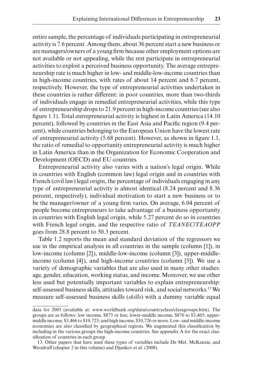entire sample, the percentage of individuals participating in entrepreneurial activity is 7.6 percent. Among them, about 36 percent start a new business or are managers/ owners of a young firm because other employment options are not available or not appealing, while the rest participate in entrepreneurial activities to exploit a perceived business opportunity. The average entrepreneurship rate is much higher in low- and middle- low- income countries than in high- income countries, with rates of about 14 percent and 6.7 percent, respectively. However, the type of entrepreneurial activities undertaken in these countries is rather different: in poor countries, more than two- thirds of individuals engage in remedial entrepreneurial activities, while this type of entrepreneurship drops to 21.9 percent in high- income countries (see also figure 1.1). Total entrepreneurial activity is highest in Latin America  $(14.10)$ percent), followed by countries in the East Asia and Pacific region (9.4 percent), while countries belonging to the European Union have the lowest rate of entrepreneurial activity  $(5.68 \text{ percent})$ . However, as shown in figure 1.1, the ratio of remedial to opportunity entrepreneurial activity is much higher in Latin America than in the Organization for Economic Cooperation and Development (OECD) and EU countries.

Entrepreneurial activity also varies with a nation's legal origin. While in countries with English (common law) legal origin and in countries with French (civil law) legal origin, the percentage of individuals engaging in any type of entrepreneurial activity is almost identical (8.24 percent and 8.36 percent, respectively), individual motivation to start a new business or to be the manager/ owner of a young firm varies. On average, 6.04 percent of people become entrepreneurs to take advantage of a business opportunity in countries with English legal origin, while 5.27 percent do so in countries with French legal origin, and the respective ratio of *TEANEC/TEAOPP* goes from 28.8 percent to 50.3 percent.

Table 1.2 reports the mean and standard deviation of the regressors we use in the empirical analysis in all countries in the sample (column [1]), in low-income (column [2]), middle-low-income (column [3]), upper-middleincome (column [4]), and high-income countries (column [5]). We use a variety of demographic variables that are also used in many other studies: age, gender, education, working status, and income. Moreover, we use other less used but potentially important variables to explain entrepreneurship: self-assessed business skills, attitudes toward risk, and social networks.<sup>13</sup> We measure self-assessed business skills (*skills*) with a dummy variable equal

data for 2005 (available at: www.worldbank.org/data/countryclass/classgroups.htm). The groups are as follows: low income, \$875 or less; lower- middle income, \$876 to \$3,465; upper middle income, \$3,466 to \$10,725; and high income, \$10,726 or more. Low- and middle- income economies are also classified by geographical regions. We augmented this classification by including in the various groups the high-income countries. See appendix A for the exact classification of countries in each group.

<sup>13.</sup> Other papers that have used these types of variables include De Mel, McKenzie, and Woodruff (chapter 2 in this volume) and Djankov et al. (2008).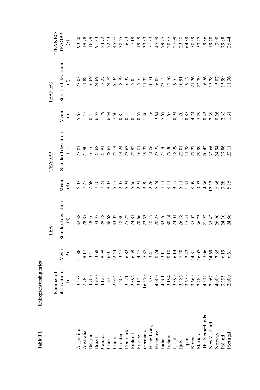| Table 1.1                                                                                                                                                                                                                                                                                                         | Entrepreneurship rates |                                                   |                    |                                                                    |                    |                |                    |               |
|-------------------------------------------------------------------------------------------------------------------------------------------------------------------------------------------------------------------------------------------------------------------------------------------------------------------|------------------------|---------------------------------------------------|--------------------|--------------------------------------------------------------------|--------------------|----------------|--------------------|---------------|
|                                                                                                                                                                                                                                                                                                                   | Number of              |                                                   | TEA                |                                                                    | TEAOPP             |                | TEANEC             | <b>TEANEC</b> |
|                                                                                                                                                                                                                                                                                                                   | observations           | Mean                                              | Standard deviation | Mean                                                               | Standard deviation | Mean           | Standard deviation | TEAOPP        |
|                                                                                                                                                                                                                                                                                                                   | $\ominus$              | $\odot$                                           | $\odot$            | $\mathfrak{E}$                                                     | $\odot$            | $\circledcirc$ | $\epsilon$         | $\circledast$ |
|                                                                                                                                                                                                                                                                                                                   |                        |                                                   |                    |                                                                    |                    |                |                    |               |
|                                                                                                                                                                                                                                                                                                                   |                        |                                                   |                    |                                                                    |                    |                |                    |               |
|                                                                                                                                                                                                                                                                                                                   |                        |                                                   |                    |                                                                    |                    |                |                    |               |
|                                                                                                                                                                                                                                                                                                                   |                        |                                                   |                    |                                                                    |                    |                |                    |               |
| Argentina<br>Australia<br>Australia<br>Belgium<br>Belgium<br>Belgium<br>Graada<br>Conata<br>Conata<br>Conata<br>Frinland<br>Hengary<br>Hong Kong<br>Hungary<br>Hong Kong<br>Italia<br>Italia<br>Italia<br>Italia<br>Italia<br>Italia<br>Italia<br>Italia<br>Italia<br>Italia<br>Italia<br>Italia<br>Italia<br>Ita |                        | 8<br>5 5 5 6 9 9 9 9 4 5 8 9<br>8 9 9 9 9 4 5 8 9 |                    | 6 5 6 6 7 6 7 6 7 6 7 6 7 7 7<br>6 7 8 9 7 8 9 7 8 7 8 8 9 8 9 7 1 |                    |                |                    |               |
|                                                                                                                                                                                                                                                                                                                   |                        |                                                   |                    |                                                                    |                    |                |                    |               |
|                                                                                                                                                                                                                                                                                                                   |                        |                                                   |                    |                                                                    |                    |                |                    |               |
|                                                                                                                                                                                                                                                                                                                   |                        |                                                   |                    |                                                                    |                    |                |                    |               |
|                                                                                                                                                                                                                                                                                                                   |                        |                                                   |                    |                                                                    |                    |                |                    |               |
|                                                                                                                                                                                                                                                                                                                   |                        |                                                   |                    |                                                                    |                    |                |                    |               |
|                                                                                                                                                                                                                                                                                                                   |                        |                                                   |                    |                                                                    |                    |                |                    |               |
|                                                                                                                                                                                                                                                                                                                   |                        |                                                   |                    |                                                                    |                    |                |                    |               |
|                                                                                                                                                                                                                                                                                                                   |                        |                                                   |                    |                                                                    |                    |                |                    |               |
|                                                                                                                                                                                                                                                                                                                   |                        |                                                   |                    |                                                                    |                    |                |                    |               |
|                                                                                                                                                                                                                                                                                                                   |                        |                                                   |                    |                                                                    |                    |                |                    |               |
|                                                                                                                                                                                                                                                                                                                   |                        |                                                   |                    | 8.11                                                               |                    |                |                    |               |
|                                                                                                                                                                                                                                                                                                                   |                        |                                                   |                    | 3.47                                                               |                    |                |                    |               |
|                                                                                                                                                                                                                                                                                                                   |                        |                                                   |                    |                                                                    |                    |                |                    |               |
|                                                                                                                                                                                                                                                                                                                   |                        |                                                   |                    |                                                                    |                    |                |                    |               |
|                                                                                                                                                                                                                                                                                                                   |                        |                                                   |                    | $\frac{1}{1}$ $\frac{3}{8}$ $\frac{3}{8}$                          |                    |                |                    |               |
|                                                                                                                                                                                                                                                                                                                   |                        |                                                   |                    |                                                                    |                    |                |                    |               |
|                                                                                                                                                                                                                                                                                                                   |                        |                                                   |                    |                                                                    |                    |                |                    |               |
|                                                                                                                                                                                                                                                                                                                   |                        |                                                   |                    |                                                                    |                    |                |                    |               |
|                                                                                                                                                                                                                                                                                                                   |                        |                                                   |                    |                                                                    |                    |                |                    |               |
|                                                                                                                                                                                                                                                                                                                   |                        |                                                   |                    | 535138315<br>534196325                                             |                    |                |                    |               |
|                                                                                                                                                                                                                                                                                                                   |                        |                                                   |                    |                                                                    |                    |                |                    |               |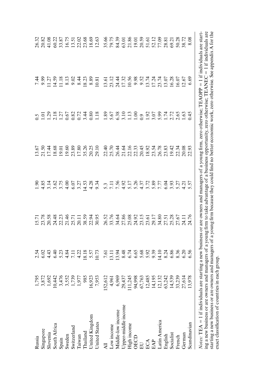| Russia                                                                                                                                                                                                                                                                                                                                                                                                                       |                                                                                                                                                                                                                                                                                                     |                                                                                                      |                                                                                                                    |  |  |                                                                                                                                                                                                 |
|------------------------------------------------------------------------------------------------------------------------------------------------------------------------------------------------------------------------------------------------------------------------------------------------------------------------------------------------------------------------------------------------------------------------------|-----------------------------------------------------------------------------------------------------------------------------------------------------------------------------------------------------------------------------------------------------------------------------------------------------|------------------------------------------------------------------------------------------------------|--------------------------------------------------------------------------------------------------------------------|--|--|-------------------------------------------------------------------------------------------------------------------------------------------------------------------------------------------------|
| Singapore                                                                                                                                                                                                                                                                                                                                                                                                                    |                                                                                                                                                                                                                                                                                                     |                                                                                                      |                                                                                                                    |  |  |                                                                                                                                                                                                 |
| Slovenia                                                                                                                                                                                                                                                                                                                                                                                                                     |                                                                                                                                                                                                                                                                                                     |                                                                                                      |                                                                                                                    |  |  |                                                                                                                                                                                                 |
| South Africa                                                                                                                                                                                                                                                                                                                                                                                                                 |                                                                                                                                                                                                                                                                                                     |                                                                                                      |                                                                                                                    |  |  |                                                                                                                                                                                                 |
| Spain                                                                                                                                                                                                                                                                                                                                                                                                                        |                                                                                                                                                                                                                                                                                                     |                                                                                                      |                                                                                                                    |  |  |                                                                                                                                                                                                 |
|                                                                                                                                                                                                                                                                                                                                                                                                                              |                                                                                                                                                                                                                                                                                                     |                                                                                                      |                                                                                                                    |  |  |                                                                                                                                                                                                 |
| Sweden<br>Switzerland                                                                                                                                                                                                                                                                                                                                                                                                        |                                                                                                                                                                                                                                                                                                     |                                                                                                      |                                                                                                                    |  |  |                                                                                                                                                                                                 |
| Taiwan                                                                                                                                                                                                                                                                                                                                                                                                                       |                                                                                                                                                                                                                                                                                                     |                                                                                                      |                                                                                                                    |  |  |                                                                                                                                                                                                 |
| Thailand                                                                                                                                                                                                                                                                                                                                                                                                                     |                                                                                                                                                                                                                                                                                                     |                                                                                                      |                                                                                                                    |  |  |                                                                                                                                                                                                 |
| United Kingdom                                                                                                                                                                                                                                                                                                                                                                                                               |                                                                                                                                                                                                                                                                                                     |                                                                                                      |                                                                                                                    |  |  |                                                                                                                                                                                                 |
| <b>Jnited States</b>                                                                                                                                                                                                                                                                                                                                                                                                         | $\begin{array}{c} 1.795 \\ 3.872 \\ 1.692 \\ 1.693 \\ 1.447 \\ 6.873 \\ 7.55 \\ 7.95 \\ 8.87 \\ 1.977 \\ 9.83 \\ 1.973 \\ 1.973 \\ 1.953 \\ 7.953 \\ \end{array}$                                                                                                                                   | とのはあどはは江江には、1911年の後の1912年の後での1912年の1912年には1912年には1912年には1912年の1912年には1912年の1912年には1912年の1912年には1912年 | FERS SERIS FERS SERIS SERIS FERS FERS<br>FERS SERIS FERS SERIS SERIS FERS FERS<br>FERS SERIS SERIS SERIS FERS FERS |  |  | 32 32 32 32 32 32 32 32 33 34 35 36 37 38 39 30 31 32 33 34 35 36 37 38 39 30 31 32 33 34 35 36 37 38 39 30 31<br>82 32 33 34 35 35 36 37 38 39 30 31 32 33 34 35 36 37 38 39 30 31 32 33 34 35 |
|                                                                                                                                                                                                                                                                                                                                                                                                                              |                                                                                                                                                                                                                                                                                                     |                                                                                                      |                                                                                                                    |  |  |                                                                                                                                                                                                 |
| Low income                                                                                                                                                                                                                                                                                                                                                                                                                   |                                                                                                                                                                                                                                                                                                     |                                                                                                      |                                                                                                                    |  |  |                                                                                                                                                                                                 |
| Middle-low income<br>Upper-middle income                                                                                                                                                                                                                                                                                                                                                                                     | 52,612<br>4,961<br>6,969                                                                                                                                                                                                                                                                            |                                                                                                      |                                                                                                                    |  |  |                                                                                                                                                                                                 |
|                                                                                                                                                                                                                                                                                                                                                                                                                              |                                                                                                                                                                                                                                                                                                     |                                                                                                      |                                                                                                                    |  |  |                                                                                                                                                                                                 |
| High income                                                                                                                                                                                                                                                                                                                                                                                                                  |                                                                                                                                                                                                                                                                                                     |                                                                                                      |                                                                                                                    |  |  |                                                                                                                                                                                                 |
| OECD                                                                                                                                                                                                                                                                                                                                                                                                                         |                                                                                                                                                                                                                                                                                                     |                                                                                                      |                                                                                                                    |  |  |                                                                                                                                                                                                 |
|                                                                                                                                                                                                                                                                                                                                                                                                                              |                                                                                                                                                                                                                                                                                                     |                                                                                                      |                                                                                                                    |  |  |                                                                                                                                                                                                 |
|                                                                                                                                                                                                                                                                                                                                                                                                                              |                                                                                                                                                                                                                                                                                                     |                                                                                                      |                                                                                                                    |  |  |                                                                                                                                                                                                 |
|                                                                                                                                                                                                                                                                                                                                                                                                                              |                                                                                                                                                                                                                                                                                                     |                                                                                                      |                                                                                                                    |  |  |                                                                                                                                                                                                 |
|                                                                                                                                                                                                                                                                                                                                                                                                                              |                                                                                                                                                                                                                                                                                                     |                                                                                                      |                                                                                                                    |  |  |                                                                                                                                                                                                 |
| ECA<br>EAP<br>Latin America<br>English<br>English                                                                                                                                                                                                                                                                                                                                                                            | $\begin{array}{l} 27.47 \\ 28.88 \\ 29.87 \\ 21.48 \\ 26.49 \\ 27.49 \\ 28.49 \\ 29.40 \\ 20.40 \\ 21.40 \\ 22.40 \\ 23.40 \\ 24.40 \\ 25.40 \\ 26.40 \\ 27.40 \\ 28.40 \\ 29.40 \\ 20.40 \\ 27.40 \\ 27.40 \\ 27.40 \\ 27.40 \\ 27.40 \\ 27.40 \\ 27.40 \\ 27.40 \\ 27.40 \\ 27.40 \\ 27.40 \\ 27$ |                                                                                                      |                                                                                                                    |  |  |                                                                                                                                                                                                 |
|                                                                                                                                                                                                                                                                                                                                                                                                                              |                                                                                                                                                                                                                                                                                                     |                                                                                                      |                                                                                                                    |  |  |                                                                                                                                                                                                 |
| French                                                                                                                                                                                                                                                                                                                                                                                                                       |                                                                                                                                                                                                                                                                                                     |                                                                                                      |                                                                                                                    |  |  |                                                                                                                                                                                                 |
| German                                                                                                                                                                                                                                                                                                                                                                                                                       |                                                                                                                                                                                                                                                                                                     |                                                                                                      |                                                                                                                    |  |  |                                                                                                                                                                                                 |
| Scandinavian                                                                                                                                                                                                                                                                                                                                                                                                                 |                                                                                                                                                                                                                                                                                                     |                                                                                                      |                                                                                                                    |  |  |                                                                                                                                                                                                 |
| Notes: TEA = 1 if individuals are starting a new business or are owners and managers of a young firm, zero otherwise; TEAOPP = 1 if individuals are start-<br>ing a new business or are owners and managers of a young firm to t<br>starting a new business or are owners and managers of a young firm because they could find no better economic work, zero otherwise. See appendix A for the<br>exact classification of co | untries in each group                                                                                                                                                                                                                                                                               |                                                                                                      |                                                                                                                    |  |  |                                                                                                                                                                                                 |
|                                                                                                                                                                                                                                                                                                                                                                                                                              |                                                                                                                                                                                                                                                                                                     |                                                                                                      |                                                                                                                    |  |  |                                                                                                                                                                                                 |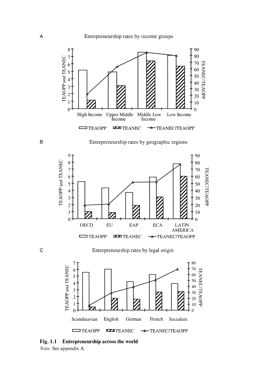

Entrepreneurship rates by geographic regions



#### Entrepreneurship rates by legal origin



**Fig. 1.1 Entrepreneurship across the world** *Note:* See appendix A.

B

C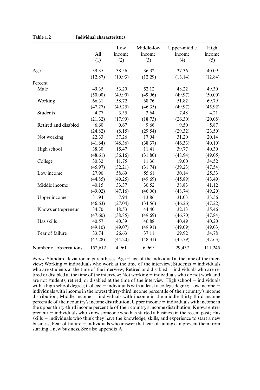|                        | A <sub>11</sub><br>(1) | Low<br>income<br>(2) | Middle-low<br>income<br>(3) | Upper-middle<br>income<br>(4) | High<br>income<br>(5) |
|------------------------|------------------------|----------------------|-----------------------------|-------------------------------|-----------------------|
| Age                    | 39.35<br>(12.87)       | 38.56<br>(10.93)     | 36.32<br>(12.29)            | 37.36<br>(13.14)              | 40.09<br>(12.84)      |
| Percent                |                        |                      |                             |                               |                       |
| Male                   | 49.35                  | 53.20                | 52.12                       | 48.22                         | 49.30                 |
|                        | (50.00)                | (49.90)              | (49.96)                     | (49.97)                       | (50.00)               |
| Working                | 66.31                  | 58.72                | 68.76                       | 51.82                         | 69.79                 |
|                        | (47.27)                | (49.25)              | (46.35)                     | (49.97)                       | (45.92)               |
| Students               | 4.77                   | 3.35                 | 3.64                        | 7.48                          | 4.21                  |
|                        | (21.32)                | (17.99)              | (18.73)                     | (26.30)                       | (20.08)               |
| Retired and disabled   | 6.60                   | 0.67                 | 9.66                        | 9.50                          | 5.87                  |
|                        | (24.82)                | (8.15)               | (29.54)                     | (29.32)                       | (23.50)               |
| Not working            | 22.33                  | 37.26                | 17.94                       | 31.20                         | 20.14                 |
|                        | (41.64)                | (48.36)              | (38.37)                     | (46.33)                       | (40.10)               |
| High school            | 38.30                  | 15.47                | 11.41                       | 39.77                         | 40.30                 |
|                        | (48.61)                | (36.16)              | (31.80)                     | (48.94)                       | (49.05)               |
| College                | 30.32                  | 11.75                | 11.36                       | 19.00                         | 34.52                 |
|                        | (45.97)                | (32.21)              | (31.74)                     | (39.23)                       | (47.54)               |
| Low income             | 27.90                  | 58.69                | 55.61                       | 30.14                         | 25.33                 |
|                        | (44.85)                | (49.25)              | (49.69)                     | (45.89)                       | (43.49)               |
| Middle income          | 40.15                  | 33.37                | 30.52                       | 38.83                         | 41.12                 |
|                        | (49.02)                | (47.16)              | (46.06)                     | (48.74)                       | (49.20)               |
| Upper income           | 31.94                  | 7.94                 | 13.86                       | 31.03                         | 33.56                 |
|                        | (46.63)                | (27.04)              | (34.56)                     | (46.26)                       | (47.22)               |
| Knows entrepreneur     | 34.70                  | 18.53                | 44.40                       | 32.13                         | 35.46                 |
|                        | (47.60)                | (38.85)              | (49.69)                     | (46.70)                       | (47.84)               |
| Has skills             | 40.57                  | 40.39                | 46.88                       | 40.49                         | 40.20                 |
|                        | (49.10)                | (49.07)              | (49.91)                     | (49.09)                       | (49.03)               |
| Fear of failure        | 33.74                  | 26.63                | 37.11                       | 29.92                         | 34.78                 |
|                        | (47.28)                | (44.20)              | (48.31)                     | (45.79)                       | (47.63)               |
| Number of observations | 152,612                | 4,961                | 6,969                       | 29,437                        | 111,245               |

**Table 1.2 Individual characteristics**

*Notes:* Standard deviation in parentheses.  $Age = age$  of the individual at the time of the inter $view$ ; Working  $=$  individuals who work at the time of the interview; Students  $=$  individuals who are students at the time of the interview; Retired and disabled  $=$  individuals who are retired or disabled at the time of the interview; Not working  $=$  individuals who do not work and are not students, retired, or disabled at the time of the interview; High school  $=$  individuals with a high school degree; College  $=$  individuals with at least a college degree; Low income  $=$ individuals with income in the lowest thirty- third income percentile of their country's income  $distri$ bution; Middle income  $=$  individuals with income in the middle thirty-third income percentile of their country's income distribution; Upper income = individuals with income in the upper thirty- third income percentile of their country's income distribution; Knows entrepreneur = individuals who know someone who has started a business in the recent past; Has skills = individuals who think they have the knowledge, skills, and experience to start a new business; Fear of failure  $=$  individuals who answer that fear of failing can prevent them from starting a new business. See also appendix A.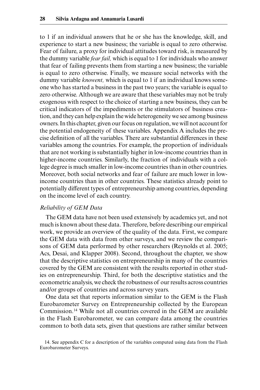to 1 if an individual answers that he or she has the knowledge, skill, and experience to start a new business; the variable is equal to zero otherwise. Fear of failure, a proxy for individual attitudes toward risk, is measured by the dummy variable *fear fail,* which is equal to 1 for individuals who answer that fear of failing prevents them from starting a new business; the variable is equal to zero otherwise. Finally, we measure social networks with the dummy variable *knowent,* which is equal to 1 if an individual knows someone who has started a business in the past two years; the variable is equal to zero otherwise. Although we are aware that these variables may not be truly exogenous with respect to the choice of starting a new business, they can be critical indicators of the impediments or the stimulators of business creation, and they can help explain the wide heterogeneity we see among business owners. In this chapter, given our focus on regulation, we will not account for the potential endogeneity of these variables. Appendix A includes the precise definition of all the variables. There are substantial differences in these variables among the countries. For example, the proportion of individuals that are not working is substantially higher in low- income countries than in higher- income countries. Similarly, the fraction of individuals with a college degree is much smaller in low- income countries than in other countries. Moreover, both social networks and fear of failure are much lower in low income countries than in other countries. These statistics already point to potentially different types of entrepreneurship among countries, depending on the income level of each country.

#### *Reliability of GEM Data*

The GEM data have not been used extensively by academics yet, and not much is known about these data. Therefore, before describing our empirical work, we provide an overview of the quality of the data. First, we compare the GEM data with data from other surveys, and we review the comparisons of GEM data performed by other researchers (Reynolds et al. 2005; Acs, Desai, and Klapper 2008). Second, throughout the chapter, we show that the descriptive statistics on entrepreneurship in many of the countries covered by the GEM are consistent with the results reported in other studies on entrepreneurship. Third, for both the descriptive statistics and the econometric analysis, we check the robustness of our results across countries and/or groups of countries and across survey years.

One data set that reports information similar to the GEM is the Flash Eurobarometer Survey on Entrepreneurship collected by the European Commission.14 While not all countries covered in the GEM are available in the Flash Eurobarometer, we can compare data among the countries common to both data sets, given that questions are rather similar between

<sup>14.</sup> See appendix C for a description of the variables computed using data from the Flash Eurobarometer Surveys.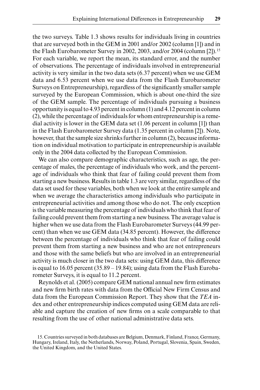the two surveys. Table 1.3 shows results for individuals living in countries that are surveyed both in the GEM in 2001 and/or 2002 (column [1]) and in the Flash Eurobarometer Survey in 2002, 2003, and/or 2004 (column [2]).<sup>15</sup> For each variable, we report the mean, its standard error, and the number of observations. The percentage of individuals involved in entrepreneurial activity is very similar in the two data sets (6.37 percent) when we use GEM data and 6.53 percent when we use data from the Flash Eurobarometer Surveys on Entrepreneurship), regardless of the significantly smaller sample surveyed by the European Commission, which is about one-third the size of the GEM sample. The percentage of individuals pursuing a business opportunity is equal to 4.93 percent in column (1) and 4.12 percent in column (2), while the percentage of individuals for whom entrepreneurship is a remedial activity is lower in the GEM data set (1.06 percent in column [1]) than in the Flash Eurobarometer Survey data (1.35 percent in column [2]). Note, however, that the sample size shrinks further in column (2), because information on individual motivation to participate in entrepreneurship is available only in the 2004 data collected by the European Commission.

We can also compare demographic characteristics, such as age, the percentage of males, the percentage of individuals who work, and the percentage of individuals who think that fear of failing could prevent them from starting a new business. Results in table 1.3 are very similar, regardless of the data set used for these variables, both when we look at the entire sample and when we average the characteristics among individuals who participate in entrepreneurial activities and among those who do not. The only exception is the variable measuring the percentage of individuals who think that fear of failing could prevent them from starting a new business. The average value is higher when we use data from the Flash Eurobarometer Surveys (44.99 percent) than when we use GEM data (34.85 percent). However, the difference between the percentage of individuals who think that fear of failing could prevent them from starting a new business and who are not entrepreneurs and those with the same beliefs but who are involved in an entrepreneurial activity is much closer in the two data sets: using GEM data, this difference is equal to 16.05 percent (35.89 – 19.84); using data from the Flash Eurobarometer Surveys, it is equal to 11.2 percent.

Reynolds et al. (2005) compare GEM national annual new firm estimates and new firm birth rates with data from the Official New Firm Census and data from the European Commission Report. They show that the *TEA* index and other entrepreneurship indices computed using GEM data are reliable and capture the creation of new firms on a scale comparable to that resulting from the use of other national administrative data sets.

<sup>15.</sup> Countries surveyed in both databases are Belgium, Denmark, Finland, France, Germany, Hungary, Ireland, Italy, the Netherlands, Norway, Poland, Portugal, Slovenia, Spain, Sweden, the United Kingdom, and the United States.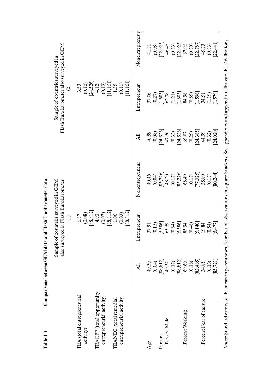|                                                                                                                                                         |                                                                                                        | Sample of countries surveyed in GEM                       |                                                                                               |                                                                                                                                      | Sample of countries surveyed in                                                                        |                                                                                           |
|---------------------------------------------------------------------------------------------------------------------------------------------------------|--------------------------------------------------------------------------------------------------------|-----------------------------------------------------------|-----------------------------------------------------------------------------------------------|--------------------------------------------------------------------------------------------------------------------------------------|--------------------------------------------------------------------------------------------------------|-------------------------------------------------------------------------------------------|
|                                                                                                                                                         |                                                                                                        | also surveyed in Flash Eurobarometer<br>$\widehat{\Xi}$   |                                                                                               |                                                                                                                                      | Flash Eurobarometer also surveyed in GEM<br>$\widehat{\mathcal{O}}$                                    |                                                                                           |
| TEA (total entrepreneurial<br>activity)                                                                                                                 |                                                                                                        | (0.08)<br>6.37                                            |                                                                                               |                                                                                                                                      |                                                                                                        |                                                                                           |
| TEAOPP (total opportunity<br>entrepreneurial activity)                                                                                                  |                                                                                                        | [88, 812]<br>4.93                                         |                                                                                               |                                                                                                                                      |                                                                                                        |                                                                                           |
| entrepreneurial activity)<br>TEANEC (total remedial                                                                                                     |                                                                                                        | $[88, 812] \\ 1.06$<br>[88, 812]<br>(0.03)                |                                                                                               |                                                                                                                                      | 6.53<br>$(0.16)$<br>$(24,526]$<br>$(4.12)$<br>$(0.19)$<br>$(1.13)$<br>$(0.11)$<br>$(0.11)$<br>$(0.11)$ |                                                                                           |
|                                                                                                                                                         | $\overline{A}$                                                                                         | Entrepreneur                                              | Nonentrepreneur                                                                               | ₹                                                                                                                                    | Entrepreneur                                                                                           | Nonentrepreneur                                                                           |
| Age                                                                                                                                                     | 40.30                                                                                                  |                                                           | 40.46                                                                                         | 40.99                                                                                                                                | 37.86                                                                                                  | 41.21                                                                                     |
|                                                                                                                                                         |                                                                                                        | 37.91<br>(0.15)<br>(0.586]<br>(0.64)<br>(5,586]<br>(85.94 |                                                                                               |                                                                                                                                      |                                                                                                        |                                                                                           |
| Percent                                                                                                                                                 |                                                                                                        |                                                           |                                                                                               |                                                                                                                                      |                                                                                                        |                                                                                           |
| Percent Male                                                                                                                                            |                                                                                                        |                                                           |                                                                                               |                                                                                                                                      |                                                                                                        |                                                                                           |
|                                                                                                                                                         | $\begin{array}{c} (0.04) \\ (88,812] \\ 49.32 \\ (0.17) \\ (88,812] \\ (88,812) \\ (89.60 \end{array}$ |                                                           | $\begin{array}{c} (0.04) \\ (83,226) \\ (48.20) \\ (0.17) \\ (83,226) \\ (83,49) \end{array}$ | $\begin{array}{l} (0.08) \\ [24,526] \\ 47.50 \\ (0.32) \\ [24,526] \\ (0.32) \\ (0.29) \\ (0.29) \\ (0.29) \\ [24,385] \end{array}$ | $\begin{array}{c} (0.27) \\ (1,603] \\ (62.38) \\ (1.21) \\ (1,603] \\ (1,603) \\ \end{array}$         | $\begin{array}{c} (0.08) \\ [22,923] \\ 46.46 \\ (0.33) \\ [22,923] \\ 67.96 \end{array}$ |
|                                                                                                                                                         |                                                                                                        |                                                           |                                                                                               |                                                                                                                                      |                                                                                                        |                                                                                           |
| Percent Working                                                                                                                                         |                                                                                                        |                                                           |                                                                                               |                                                                                                                                      |                                                                                                        |                                                                                           |
|                                                                                                                                                         |                                                                                                        |                                                           |                                                                                               |                                                                                                                                      |                                                                                                        |                                                                                           |
|                                                                                                                                                         | $(0.16)$<br>$[82,465]$                                                                                 | $(0.48)$<br>[5,140]                                       | $(0.17)$<br>77,325]                                                                           |                                                                                                                                      | $(0.89)$<br>1,598]                                                                                     | $(0.30)$<br>[22,787]                                                                      |
| Percent Fear of failure                                                                                                                                 | 34.85                                                                                                  | 19.84                                                     | 35.89                                                                                         | 44.99                                                                                                                                | 34.51                                                                                                  | 45.73                                                                                     |
|                                                                                                                                                         | (0.16)                                                                                                 | (0.54)                                                    | (0.17)                                                                                        | (0.32)                                                                                                                               | (1.19)                                                                                                 | (0.33)                                                                                    |
|                                                                                                                                                         | [85, 721]                                                                                              | 5,477                                                     | [80,244]                                                                                      | 24,020]                                                                                                                              | 1,579]                                                                                                 | [22, 441]                                                                                 |
| Notes: Standard errors of the mean in parentheses. Number of observations in square brackets. See appendix A and appendix C for variables' definitions. |                                                                                                        |                                                           |                                                                                               |                                                                                                                                      |                                                                                                        |                                                                                           |

Comparisons between GEM data and Flash Eurobarometer data **Table 1.3 Comparisons between GEM data and Flash Eurobarometer data**

Table 1.3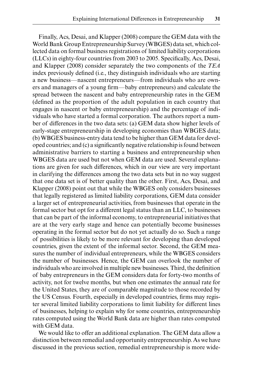Finally, Acs, Desai, and Klapper (2008) compare the GEM data with the World Bank Group Entrepreneurship Survey (WBGES) data set, which collected data on formal business registrations of limited liability corporations (LLCs) in eighty-four countries from 2003 to 2005. Specifically, Acs, Desai, and Klapper (2008) consider separately the two components of the *TEA* index previously defined (i.e., they distinguish individuals who are starting a new business—nascent entrepreneurs—from individuals who are owners and managers of a young firm—baby entrepreneurs) and calculate the spread between the nascent and baby entrepreneurship rates in the GEM (defined as the proportion of the adult population in each country that engages in nascent or baby entrepreneurship) and the percentage of individuals who have started a formal corporation. The authors report a number of differences in the two data sets: (a) GEM data show higher levels of early- stage entrepreneurship in developing economies than WBGES data; (b) WBGES business- entry data tend to be higher than GEM data for developed countries; and  $(c)$  a significantly negative relationship is found between administrative barriers to starting a business and entrepreneurship when WBGES data are used but not when GEM data are used. Several explanations are given for such differences, which in our view are very important in clarifying the differences among the two data sets but in no way suggest that one data set is of better quality than the other. First, Acs, Desai, and Klapper (2008) point out that while the WBGES only considers businesses that legally registered as limited liability corporations, GEM data consider a larger set of entrepreneurial activities, from businesses that operate in the formal sector but opt for a different legal status than an LLC, to businesses that can be part of the informal economy, to entrepreneurial initiatives that are at the very early stage and hence can potentially become businesses operating in the formal sector but do not yet actually do so. Such a range of possibilities is likely to be more relevant for developing than developed countries, given the extent of the informal sector. Second, the GEM measures the number of individual entrepreneurs, while the WBGES considers the number of businesses. Hence, the GEM can overlook the number of individuals who are involved in multiple new businesses. Third, the definition of baby entrepreneurs in the GEM considers data for forty- two months of activity, not for twelve months, but when one estimates the annual rate for the United States, they are of comparable magnitude to those recorded by the US Census. Fourth, especially in developed countries, firms may register several limited liability corporations to limit liability for different lines of businesses, helping to explain why for some countries, entrepreneurship rates computed using the World Bank data are higher than rates computed with GEM data.

We would like to offer an additional explanation. The GEM data allow a distinction between remedial and opportunity entrepreneurship. As we have discussed in the previous section, remedial entrepreneurship is more wide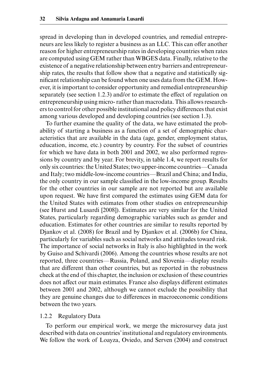spread in developing than in developed countries, and remedial entrepreneurs are less likely to register a business as an LLC. This can offer another reason for higher entrepreneurship rates in developing countries when rates are computed using GEM rather than WBGES data. Finally, relative to the existence of a negative relationship between entry barriers and entrepreneurship rates, the results that follow show that a negative and statistically significant relationship can be found when one uses data from the GEM. However, it is important to consider opportunity and remedial entrepreneurship separately (see section 1.2.3) and/or to estimate the effect of regulation on entrepreneurship using micro- rather than macrodata. This allows researchers to control for other possible institutional and policy differences that exist among various developed and developing countries (see section 1.3).

To further examine the quality of the data, we have estimated the probability of starting a business as a function of a set of demographic characteristics that are available in the data (age, gender, employment status, education, income, etc.) country by country. For the subset of countries for which we have data in both 2001 and 2002, we also performed regressions by country and by year. For brevity, in table 1.4, we report results for only six countries: the United States; two upper- income countries—Canada and Italy; two middle- low- income countries—Brazil and China; and India, the only country in our sample classified in the low-income group. Results for the other countries in our sample are not reported but are available upon request. We have first compared the estimates using GEM data for the United States with estimates from other studies on entrepreneurship (see Hurst and Lusardi [2008]). Estimates are very similar for the United States, particularly regarding demographic variables such as gender and education. Estimates for other countries are similar to results reported by Djankov et al. (2008) for Brazil and by Djankov et al. (2006b) for China, particularly for variables such as social networks and attitudes toward risk. The importance of social networks in Italy is also highlighted in the work by Guiso and Schivardi (2006). Among the countries whose results are not reported, three countries—Russia, Poland, and Slovenia—display results that are different than other countries, but as reported in the robustness check at the end of this chapter, the inclusion or exclusion of these countries does not affect our main estimates. France also displays different estimates between 2001 and 2002, although we cannot exclude the possibility that they are genuine changes due to differences in macroeconomic conditions between the two years.

#### 1.2.2 Regulatory Data

To perform our empirical work, we merge the microsurvey data just described with data on countries' institutional and regulatory environments. We follow the work of Loayza, Oviedo, and Serven (2004) and construct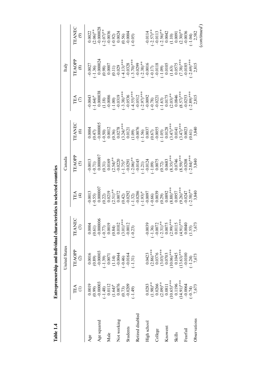$(300028$ <br>  $(3000038)$ <br>  $(30036)$ <br>  $(30036)$ <br>  $(30036)$ <br>  $(30024)$ **TEANEC**  $(-1.04)$ <br> $2,582$ <br> $2,582$ TEANEC Age squared –0.00003 –0.00003 –0.000006 0.000007 0.000007 –0.000005 0.000038 0.000024 –0.000028  $0.0022$ <br> $(2.06)$ \*\*  $\begin{array}{c} -0.0114 \\ (-2.57)^{***} \\ -0.0113 \\ -0.0042 \\ \hline \\ (-2.56)^{*} \\ 0.0042 \\ \hline \\ (-1.0091 \\ 0.0091 \\ \end{array}$  $(0.56)$ <br> $-0.0004$ <br> $(-0.05)$  $-0.0036$ \*=(00'C) (0.9°1') \*(12'J'| (Lτ'O) (П.'O') (SS'O') (1.00') (1.00') (68'O) (66'O) \*"((0.7~) (68´0) (8T´I) (0.9^0-) (I.20) (2(20) (С.100-) (6.77) (6.7°T-) (8+1°T-) \*\*€(0.870) (2.98°) (1.9°) (1.9°) (60°17) (99°) (9.6°17) (9.5°17) (9.8°2) (2.57°) (1.9°) (1.9°) (1.9°) (1.9°) ( \*\*(3.0°(7) (3.09) (−2.31) (−2.09) (−2.09) (−2.09) (−2.09) (−2.09) (−2.58) (−2.58) (−2.56) (−2.56) (−2.56) (−2.56) \*\*\*\*(05.71) ∗\*\*\*(0.91) ∗\*\*\*(13.90) \*\*\*\*(0.91) \*\*\*\*(0.91) \*\*\*\*(0.57) \*\*\*\*\*(13.70) \*\*\*\*\*(13.70)≠17 (9) 520010 - 120010- 190010- - 100010 - 120010- - 110010- - 100010 - 9.10010 - 6.10010 - 9.184 Male 0.0112 0.0071 0.0019 0.0219 0.0169 0.0012 –0.0086 0.0007 –0.0036 Not working 0.0076 –0.0044 0.0102 0.0072 –0.0220 0.0278 –0.0319 –0.029 0.0024 t00010 – 8220101 – 9220101 – 121010 – 1220101 – 2020101 – 2010101 – 2010101 – 8020101 – 82201011 – 8 t110:0- 9.100:0- 2.600:0- 2.500:0- 2.600:0- 6.600:0- 6.720:0 6.820:0 100qqs qishi (#20010 0.01010 0.011 0.01010 0.021010 0.08921 0.08921 0.0203 0.0203 0.0203 0.02020 0.02128 0.0128 0.0128 0.01 950010 – 981010 – 9820101 – 98201010 – 9820101 – 982010 – 9820101 – 9820101 – 9820101 – 9820101 – 98 Observations 7,673 7,673 7,673 7,673 3,840 7,673 3,840 2,815 2,815 2,815 2,815 COLOGE 0.027676 – 2.027676 – 2.027676 – 2.027676 – 2.027676 – 2.027676 – 2.027676 – 2.0277676 – 2.02<br>مواليد المركز المركز المركز المركز المركز المركز المركز المركز المركز المركز المركز المركز المركز المركز المركز ISO010 0.25010 0.098010 141010 0.094010 0.09501 0.0000 0.0111010 0.0111010 0.001110 0.001110 0.001110 (1.61°) (1.110) (0.611−) (2.51°) \*\*\*(4.5°(1) \*\*\*(1.5°(1) (4.52°) (4.52°) (–1.11) \*\*(4.5°17) (0.73) (–0.46) (3.01)∗∗∗ (0.42) (–1.75)∗ (3.24)∗∗∗ (–3.38)∗∗∗ (–4.13)∗∗∗ (0.56) (–1.49) (–1.31) (–0.23) (–1.32) (–2.06)∗∗ (1.09) (–4.55)∗∗∗ (–3.70)∗∗∗ (–0.05) (10.65)∗∗∗ (10.06)∗∗∗ (2.99)∗∗∗ (8.88)∗∗∗ (8.35)∗∗∗ (3.47)∗∗∗ (2.03)∗∗ (1.63) (1.10) (–0.74) (–1.24) (1.55) (–2.58)∗∗ (–2.84)∗∗∗ (0.61) (–2.89)∗∗∗ (–2.69)∗∗∗ (–1.04)  $-0.0027$ <br>  $(-1.36)$ <br>
0.000024<br>
0.98)<br>
0.0007  $\begin{array}{l} (0.11)\\ -0.029\\ -4.13) ^{***}\\ -4.0328\\ -1.370) ^{***}\\ -1.370) ^{***}\\ (-3.70) ^{***}\\ (-2.38) ^{**}\\ -(-2.39) ^{**}\\ -(-2.39) ^{**}\\ -(-2.39) ^{**}\\ -(-2.39) ^{**}\\ -(-2.39) ^{**}\\ -(-2.39) ^{**}\\ -(-2.39) ^{**}\\ -(-2.39) ^{**}\\ -(-2.39) ^{**}\\ -(-2.39) ^{**}\\ -(-2.39) ^{**}\\ -(-2.39) ^{**}\\ -(-2.39)$  $\begin{array}{l} (-0.17)\\ -0.0118\\ -1.09)\\ -1.09)\\ 0.0105\\ 0.0575\\ 0.0575\\ 0.0575\\ (7.38)$  $-0.0185$ <br> $(-2.69)$ \*\*\* TEAOPP (–1.93)∗ (–1.21) (–1.56) (–2.97)∗∗∗ (–2.38)∗∗ 2,815 Italy  $R$ etired disabled –0.0287 –0.0286 –0.0286 –0.0286 –0.0286 –0.02986 –0.02999 –0.02999 –0.0299 United States  $\alpha$ (8)  $\begin{array}{l} \left(-1,3\right)_{3}^{**}\\\left(-3,9\right)_{3}^{**}\\\left(-4,5\right)_{3}^{**}\\\left(-4,5\right)_{3}^{**}\\\left(-1,00\right)_{3}^{**}\\\left(-1,00\right)_{3}^{**}\\\left(-1,00\right)_{3}^{**}\\\left(-1,00\right)_{3}^{**}\\\left(-1,00\right)_{3}^{**}\\\left(-1,00\right)_{3}^{**}\\\left(-1,00\right)_{3}^{**}\\\left(-1,00\right)_{3}^{**}\\\left(-1,00\right)_{3}^{**}\\\left(-1,00\right$ 0.000038  $-0.0253$ <br> $(-2.89)$ \*\*\*  $-0.0043$ <br> $(-1.64)$ \*  $\begin{array}{c} (1.18) \\ -0.0086 \\ (-1.00) \\ -0.0319 \end{array}$ 2,815 TEA (7) **TEANEC** TEANEC  $-0.000005$  $\begin{array}{c} (0.36) \\ 0.0278 \\ (3.24)^{***} \end{array}$  $\frac{0.0128}{(3.47)^{***}}$  $0.0141$ <br> $(3.47)$ \*\*\* 0.0004  $0.0012$  $\begin{array}{c} (1.09) \\ -0.0076 \\ -1.56 \\ 0.0037 \\ 0.0037 \\ -0.0035 \\ -0.055 \\ \end{array}$  $0.0121$ 0.0023 3,840 (6)  $(0.47)$  $(-0.50)$  $(0.61)$  $0.000007$ <br> $(0.31)$  $0.0746$ <br>  $(8.59)***$ TEAOPP  $(8.35)$ \*\*\*  $-0.0208$ <br> $(-2.84)***$ Canada  $-0.0013$ <br> $(-0.71)$  $(2.54)$ \*\*  $(-1.75)^{*}$ <br>  $-0.0291$ <br>  $(-2.06)^{**}$ <br>  $-0.0145$  $(1.09)$ <br>
0.0075 0.0169  $-0.0220$  $(1, 21)$ <br> $(1, 21)$ <br> $(1, 21)$ <br> $(1, 21)$ 3,840 0.0683 (5)  $(0.72)$  $-0.0013$ <br>  $(-0.55)$ <br>  $0.000007$ <br>  $0.022$ <br>  $0.0219$ <br>  $(2.51)$ \*\*  $(-0.66)$ <br>
0.0039<br>
0.0032<br>
0.0892<br>
0.0857<br>
0.00557<br>
0.0247<br>
0.0247  $0.0072$  $(0.42)$ <br> $-0.0292$  $(-1.32)$ <br>  $-0.0286$ <br>  $(-1.93)^*$ <br>  $-0.0097$ 3,840 TEA (4)  $\begin{array}{c} 0.0004 \\ (0.61) \\ -0.000006 \\ -0.77) \\ 0.0019 \\ (0.84) \\ 0.84) \end{array}$  $(3.01)$ \*\*\*<br>-0.0012<br>(-0.23)  $-0.0039$ <br>  $(-1.36)$ <br>  $-0.0072$ <br>  $-2.31)$ <sup>\*\*</sup><br>  $-0.0075$ <br>  $0.0075$ <br>  $(2.99)$ \*\*\* **TEANEC** TEANEC  $\begin{array}{c} 0.0115 \\ (4.91)^{***} \end{array}$  $0.0040$ <br>(1.55)<br>7,673  $0.0102$ (3) United States  $\begin{array}{c} 0.0016 \\ (0.89) \\ -0.00003 \\ (-1.39) \\ 0.0071 \end{array}$  $0.1045$ <br>(13.63)\*\*\*  $\begin{array}{c} 0.0423 \\ (2.86) ^{***} \\ 0.0376 \\ (3.03) ^{***} \end{array}$  $\big)_{0.0703}$ <br>10.06)\*\*\* TEAOPP  $(-1.24)$ <br>7,673  $(-0.46)$ <br> $-0.0164$  $-0.0100$  $-0.0044$  $\odot$  $(1.14)$  $(-1.31)$  $\begin{array}{c} 0.0283 \\ (1.98) ^{**} \\ 0.0266 \\ (2.09) ^{**} \\ (1.9011 \\ (0.65) ^{**} \\ \end{array}$  $(14.91)^{***}$  $-0.00003$  $(1.64)$ <sup>\*</sup><br>0.0076  $(0.73)$ <br> $-0.0209$ <br> $(-1.49)$  $(60.0019)$  $0.0112$  $-0.0064$  $(-0.74)$ <br>7,673 TEA  $(-1.48)$  $\widehat{c}$ Retired disabled Age squared Not working Observations High school Students Knowent College Fearfail Skills Male Age

(*continued* )

 $continued)$ 

Entrepreneurship and individual characteristics in selected countries **Table 1.4 Entrepreneurship and individual characteristics in selected countries**

Table 1.4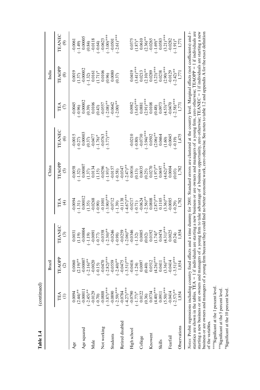|                       |                                                                                                          | Brazil           |                                                                                                                                                                                                                                                                                                                |                                                                                                                                                                                                                                                                                         | China                                          |                                                                                                                                                                                                                                                                                                                                                 |                                                                                                                                               | India                                                                                                                                                                                                                                                                                                                                  |                                                                                                                                                                                                                                                                       |
|-----------------------|----------------------------------------------------------------------------------------------------------|------------------|----------------------------------------------------------------------------------------------------------------------------------------------------------------------------------------------------------------------------------------------------------------------------------------------------------------|-----------------------------------------------------------------------------------------------------------------------------------------------------------------------------------------------------------------------------------------------------------------------------------------|------------------------------------------------|-------------------------------------------------------------------------------------------------------------------------------------------------------------------------------------------------------------------------------------------------------------------------------------------------------------------------------------------------|-----------------------------------------------------------------------------------------------------------------------------------------------|----------------------------------------------------------------------------------------------------------------------------------------------------------------------------------------------------------------------------------------------------------------------------------------------------------------------------------------|-----------------------------------------------------------------------------------------------------------------------------------------------------------------------------------------------------------------------------------------------------------------------|
|                       | $\mathbb{H}^2$                                                                                           | EAOPI<br>$\odot$ | TEANEC<br>(3)                                                                                                                                                                                                                                                                                                  | HE<br>(+)                                                                                                                                                                                                                                                                               | EAOP!<br>$\odot$                               | EANE<br>$\circledcirc$                                                                                                                                                                                                                                                                                                                          | $\widetilde{\mathbb{E}}^{\mathbb{A}}$                                                                                                         | <b>EAOP</b><br>$^\circledR$                                                                                                                                                                                                                                                                                                            | <b>TEANEC</b><br>$\circledcirc$                                                                                                                                                                                                                                       |
| Age                   | $-0094$                                                                                                  |                  |                                                                                                                                                                                                                                                                                                                |                                                                                                                                                                                                                                                                                         |                                                |                                                                                                                                                                                                                                                                                                                                                 |                                                                                                                                               |                                                                                                                                                                                                                                                                                                                                        |                                                                                                                                                                                                                                                                       |
| Age squared           | $(2.44)$ **<br>$-0.00011$<br>$-0.00011$<br>$-0.0129$<br>$-0.0129$<br>$-0.0888$<br>$-0.0888$<br>$-0.0888$ |                  | $\begin{array}{l} (303)\\ (300)\\ (300)\\ (400)\\ (500)\\ (600)\\ (600)\\ (600)\\ (600)\\ (600)\\ (600)\\ (600)\\ (600)\\ (600)\\ (600)\\ (600)\\ (600)\\ (600)\\ (600)\\ (600)\\ (600)\\ (600)\\ (600)\\ (600)\\ (600)\\ (600)\\ (600)\\ (600)\\ (600)\\ (600)\\ (600)\\ (600)\\ (600)\\ (600)\\ (600)\\ (60$ | $\begin{array}{l} 2009\\ -1.31\\ -1.50012\\ -1.50003\\ -1.50003\\ -1.50003\\ -1.50003\\ -1.50003\\ -1.50003\\ -1.50003\\ -1.50003\\ -1.50003\\ -1.50003\\ -1.50003\\ -1.50003\\ -1.50003\\ -1.50003\\ -1.50003\\ -1.50003\\ -1.50003\\ -1.50003\\ -1.50003\\ -1.50003\\ -1.50003\\ -1.$ |                                                | $-0.0015$<br>$(-0.27)$<br>$0.00003$<br>$0.37$<br>$0.0477$<br>$-0.0763$<br>$-0.0763$<br>$-1.70$ ***                                                                                                                                                                                                                                              | $-1.0045$<br>$-1.96$<br>$-0.0000$<br>$-0.0000$<br>$-0.0000$<br>$-0.0557$<br>$-0.0642$<br>$-0.0642$<br>$-0.0642$<br>$-0.0642$                  | $\begin{array}{l} 0.0019\\0.0019\\(-1.37)\\-0.00002\\(-1.32)\\0.0161\\-0.0106\\0.0000\\0.0000\\0.0000\\0.0000\\0.000\\0.001\end{array}$                                                                                                                                                                                                | $-(-149)$<br>$(-149)$<br>$-0.00000$<br>$-0.0118$<br>$-0.0000$<br>$-0.0000$<br>$-0.0000$<br>$-0.0000$<br>$-0.0000$<br>$-0.0000$<br>$-0.0000$<br>$-0.0000$                                                                                                              |
|                       |                                                                                                          |                  |                                                                                                                                                                                                                                                                                                                |                                                                                                                                                                                                                                                                                         |                                                |                                                                                                                                                                                                                                                                                                                                                 |                                                                                                                                               |                                                                                                                                                                                                                                                                                                                                        |                                                                                                                                                                                                                                                                       |
| Male                  |                                                                                                          |                  |                                                                                                                                                                                                                                                                                                                |                                                                                                                                                                                                                                                                                         |                                                |                                                                                                                                                                                                                                                                                                                                                 |                                                                                                                                               |                                                                                                                                                                                                                                                                                                                                        |                                                                                                                                                                                                                                                                       |
| Not working           |                                                                                                          |                  |                                                                                                                                                                                                                                                                                                                |                                                                                                                                                                                                                                                                                         |                                                |                                                                                                                                                                                                                                                                                                                                                 |                                                                                                                                               |                                                                                                                                                                                                                                                                                                                                        |                                                                                                                                                                                                                                                                       |
| Ľ                     |                                                                                                          |                  |                                                                                                                                                                                                                                                                                                                |                                                                                                                                                                                                                                                                                         |                                                |                                                                                                                                                                                                                                                                                                                                                 |                                                                                                                                               |                                                                                                                                                                                                                                                                                                                                        |                                                                                                                                                                                                                                                                       |
| Students              |                                                                                                          |                  |                                                                                                                                                                                                                                                                                                                |                                                                                                                                                                                                                                                                                         |                                                |                                                                                                                                                                                                                                                                                                                                                 |                                                                                                                                               |                                                                                                                                                                                                                                                                                                                                        |                                                                                                                                                                                                                                                                       |
| T                     |                                                                                                          |                  |                                                                                                                                                                                                                                                                                                                |                                                                                                                                                                                                                                                                                         |                                                |                                                                                                                                                                                                                                                                                                                                                 |                                                                                                                                               |                                                                                                                                                                                                                                                                                                                                        |                                                                                                                                                                                                                                                                       |
| J<br>Retired disabled | $0.0890$<br>$2.59)$ ***<br>$0.0784$<br>$0.0784$<br>$0.0790$<br>$0.0790$<br>$1.77)$ *<br>$1.0122$         |                  |                                                                                                                                                                                                                                                                                                                |                                                                                                                                                                                                                                                                                         |                                                |                                                                                                                                                                                                                                                                                                                                                 |                                                                                                                                               |                                                                                                                                                                                                                                                                                                                                        |                                                                                                                                                                                                                                                                       |
| High school           |                                                                                                          |                  |                                                                                                                                                                                                                                                                                                                |                                                                                                                                                                                                                                                                                         |                                                |                                                                                                                                                                                                                                                                                                                                                 |                                                                                                                                               |                                                                                                                                                                                                                                                                                                                                        |                                                                                                                                                                                                                                                                       |
| J                     |                                                                                                          |                  |                                                                                                                                                                                                                                                                                                                |                                                                                                                                                                                                                                                                                         |                                                |                                                                                                                                                                                                                                                                                                                                                 |                                                                                                                                               |                                                                                                                                                                                                                                                                                                                                        |                                                                                                                                                                                                                                                                       |
| College               |                                                                                                          |                  |                                                                                                                                                                                                                                                                                                                |                                                                                                                                                                                                                                                                                         |                                                |                                                                                                                                                                                                                                                                                                                                                 |                                                                                                                                               |                                                                                                                                                                                                                                                                                                                                        |                                                                                                                                                                                                                                                                       |
|                       | 0.36)<br>1.0734                                                                                          |                  |                                                                                                                                                                                                                                                                                                                |                                                                                                                                                                                                                                                                                         |                                                |                                                                                                                                                                                                                                                                                                                                                 |                                                                                                                                               |                                                                                                                                                                                                                                                                                                                                        |                                                                                                                                                                                                                                                                       |
| Knowent               |                                                                                                          |                  |                                                                                                                                                                                                                                                                                                                |                                                                                                                                                                                                                                                                                         |                                                |                                                                                                                                                                                                                                                                                                                                                 |                                                                                                                                               |                                                                                                                                                                                                                                                                                                                                        |                                                                                                                                                                                                                                                                       |
|                       | $+40.4$                                                                                                  |                  |                                                                                                                                                                                                                                                                                                                |                                                                                                                                                                                                                                                                                         |                                                | $\begin{array}{l} 210 \\ 7020 \\ -7020 \\ -7020 \\ -7020 \\ -7020 \\ -7020 \\ -7020 \\ -7020 \\ -7020 \\ -7020 \\ -7020 \\ -7020 \\ -7020 \\ -7020 \\ -7020 \\ -7020 \\ -7020 \\ -7020 \\ -7020 \\ -7020 \\ -7020 \\ -7020 \\ -7020 \\ -7020 \\ -7020 \\ -7020 \\ -7020 \\ -7020 \\ -7020 \\ -7020 \\ -7020 \\ -7020 \\ -7020 \\ -7020 \\ -702$ | $0.0982$<br>$(3.65)$ <sup>***</sup><br>$0.0881$<br>$(2.91)$ <sup>***</sup><br>$(1.0108)$<br>$(0.48)$<br>$(0.048)$<br>$(0.0373)$<br>$(0.0470)$ |                                                                                                                                                                                                                                                                                                                                        |                                                                                                                                                                                                                                                                       |
| Skills                | $5.50$ <sup>***</sup><br>1160:0                                                                          |                  |                                                                                                                                                                                                                                                                                                                |                                                                                                                                                                                                                                                                                         |                                                |                                                                                                                                                                                                                                                                                                                                                 |                                                                                                                                               |                                                                                                                                                                                                                                                                                                                                        |                                                                                                                                                                                                                                                                       |
| Fearfail              |                                                                                                          |                  |                                                                                                                                                                                                                                                                                                                |                                                                                                                                                                                                                                                                                         |                                                |                                                                                                                                                                                                                                                                                                                                                 |                                                                                                                                               |                                                                                                                                                                                                                                                                                                                                        |                                                                                                                                                                                                                                                                       |
| ï                     | $0.0414$<br>$0.57$ <sup>**</sup>                                                                         |                  |                                                                                                                                                                                                                                                                                                                | $(-0.29)$                                                                                                                                                                                                                                                                               |                                                |                                                                                                                                                                                                                                                                                                                                                 |                                                                                                                                               |                                                                                                                                                                                                                                                                                                                                        |                                                                                                                                                                                                                                                                       |
| Observations          | 1,854                                                                                                    | 1,854            | $^{(0.24)}_{1,854}$                                                                                                                                                                                                                                                                                            |                                                                                                                                                                                                                                                                                         | $\begin{array}{c} (0.03) \\ 1.782 \end{array}$ | 1,475                                                                                                                                                                                                                                                                                                                                           | 1,771                                                                                                                                         | $\begin{array}{c} 0.0419\\ (3.41) \ast\ast\ast\\ (3.0213\\ (2.10) \ast\ast\ast\\ (2.10) \ast\ast\ast\\ (3.23) \ast\ast\ast\\ (3.23) \ast\ast\ast\\ (3.23) \ast\ast\ast\\ (2.90) \ast\ast\ast\\ (2.912)\\ (2.1012)\\ (2.11)\\ (2.11)\\ (2.12)\\ (2.11)\\ (2.12)\\ (2.11)\\ (2.12)\\ (2.12)\\ (2.13)\\ (2.13)\\ (2.11)\\ (2.12)\\ (2.13$ | $\begin{array}{l} 0.0375\\ 0.67)\\ 1.87)\\ 0.0610\\ 0.003\\ 0.003\\ 0.003\\ 0.003\\ 0.003\\ 0.003\\ 0.003\\ 0.003\\ 0.003\\ 0.003\\ 0.003\\ 0.003\\ 0.003\\ 0.003\\ 0.003\\ 0.003\\ 0.003\\ 0.003\\ 0.003\\ 0.003\\ 0.003\\ 0.003\\ 0.003\\ 0.003\\ 0.003\\ 0.003\\ $ |

starting a new business or are owners and managers of a young firm to take advantage of a business opportunity, zero otherwise; TEANEC = 1 if individuals are starting a new business or are owners and managers of a young fi 1 if individuals are 1 if individuals are starting a new business or are owners and managers of a young firm because they could find no better economic work, zero otherwise. See notes to table 1.2 and appendix A for the exact definition 1 if individuals are starting a new business or are owners and managers of a young firm, zero otherwise; TEAOPP = starting a new business or are owners and managers of a young firm to take advantage of a business opportunity, zero otherwise; TEANEC = of the variables. of the variables.

\*\*\*Significant at the 1 percent level. ∗∗∗Signifi cant at the 1 percent level.

\*\*Significant at the 5 percent level. ∗∗Signifi cant at the 5 percent level.

\*Significant at the 10 percent level. ∗Signifi cant at the 10 percent level.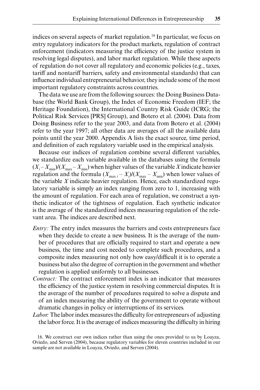indices on several aspects of market regulation.<sup>16</sup> In particular, we focus on entry regulatory indicators for the product markets, regulation of contract enforcement (indicators measuring the efficiency of the justice system in resolving legal disputes), and labor market regulation. While these aspects of regulation do not cover all regulatory and economic policies (e.g., taxes, tariff and nontariff barriers, safety and environmental standards) that can influence individual entrepreneurial behavior, they include some of the most important regulatory constraints across countries.

The data we use are from the following sources: the Doing Business Database (the World Bank Group), the Index of Economic Freedom (IEF; the Heritage Foundation), the International Country Risk Guide (ICRG; the Political Risk Services [PRS] Group), and Botero et al. (2004). Data from Doing Business refer to the year 2003, and data from Botero et al. (2004) refer to the year 1997; all other data are averages of all the available data points until the year 2000. Appendix A lists the exact source, time period, and definition of each regulatory variable used in the empirical analysis.

Because our indices of regulation combine several different variables, we standardize each variable available in the databases using the formula  $(X_i - X_{\min})/(X_{\max} - X_{\min})$  when higher values of the variable *X* indicate heavier regulation and the formula  $(X_{\text{max }i} - X_i)/(X_{\text{max}} - X_{\text{min}})$  when lower values of the variable *X* indicate heavier regulation. Hence, each standardized regulatory variable is simply an index ranging from zero to 1, increasing with the amount of regulation. For each area of regulation, we construct a synthetic indicator of the tightness of regulation. Each synthetic indicator is the average of the standardized indices measuring regulation of the relevant area. The indices are described next.

- *Entry:* The entry index measures the barriers and costs entrepreneurs face when they decide to create a new business. It is the average of the number of procedures that are officially required to start and operate a new business, the time and cost needed to complete such procedures, and a composite index measuring not only how easy/ difficult it is to operate a business but also the degree of corruption in the government and whether regulation is applied uniformly to all businesses.
- *Contract:* The contract enforcement index is an indicator that measures the efficiency of the justice system in resolving commercial disputes. It is the average of the number of procedures required to solve a dispute and of an index measuring the ability of the government to operate without dramatic changes in policy or interruptions of its services.
- *Labor:* The labor index measures the difficulty for entrepreneurs of adjusting the labor force. It is the average of indices measuring the difficulty in hiring

<sup>16.</sup> We construct our own indices rather than using the ones provided to us by Loayza, Oviedo, and Serven (2004), because regulatory variables for eleven countries included in our sample are not available in Loayza, Oviedo, and Serven (2004).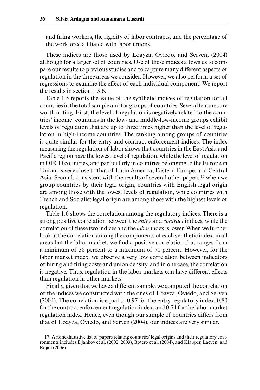and firing workers, the rigidity of labor contracts, and the percentage of the workforce affiliated with labor unions.

These indices are those used by Loayza, Oviedo, and Serven, (2004) although for a larger set of countries. Use of these indices allows us to compare our results to previous studies and to capture many different aspects of regulation in the three areas we consider. However, we also perform a set of regressions to examine the effect of each individual component. We report the results in section 1.3.6.

Table 1.5 reports the value of the synthetic indices of regulation for all countries in the total sample and for groups of countries. Several features are worth noting. First, the level of regulation is negatively related to the countries' income: countries in the low- and middle- low- income groups exhibit levels of regulation that are up to three times higher than the level of regulation in high-income countries. The ranking among groups of countries is quite similar for the entry and contract enforcement indices. The index measuring the regulation of labor shows that countries in the East Asia and Pacific region have the lowest level of regulation, while the level of regulation in OECD countries, and particularly in countries belonging to the European Union, is very close to that of Latin America, Eastern Europe, and Central Asia. Second, consistent with the results of several other papers,<sup>17</sup> when we group countries by their legal origin, countries with English legal origin are among those with the lowest levels of regulation, while countries with French and Socialist legal origin are among those with the highest levels of regulation.

Table 1.6 shows the correlation among the regulatory indices. There is a strong positive correlation between the *entry* and *contract* indices, while the correlation of these two indices and the *labor* index is lower. When we further look at the correlation among the components of each synthetic index, in all areas but the labor market, we find a positive correlation that ranges from a minimum of 38 percent to a maximum of 70 percent. However, for the labor market index, we observe a very low correlation between indicators of hiring and firing costs and union density, and in one case, the correlation is negative. Thus, regulation in the labor markets can have different effects than regulation in other markets.

Finally, given that we have a different sample, we computed the correlation of the indices we constructed with the ones of Loayza, Oviedo, and Serven (2004). The correlation is equal to 0.97 for the entry regulatory index, 0.80 for the contract enforcement regulation index, and 0.74 for the labor market regulation index. Hence, even though our sample of countries differs from that of Loayza, Oviedo, and Serven (2004), our indices are very similar.

<sup>17.</sup> A nonexhaustive list of papers relating countries' legal origins and their regulatory environments includes Djankov et al. (2002, 2003), Botero et al. (2004), and Klapper, Laeven, and Rajan (2006).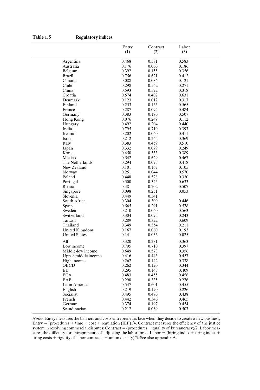#### **Table 1.5 Regulatory indices**

|                        | Entry          | Contract       | Labor          |  |
|------------------------|----------------|----------------|----------------|--|
|                        | (1)            | (2)            | (3)            |  |
|                        |                |                |                |  |
| Argentina<br>Australia | 0.468<br>0.176 | 0.581<br>0.060 | 0.583<br>0.186 |  |
| Belgium                | 0.392          | 0.155          | 0.356          |  |
| <b>Brazil</b>          |                | 0.621          | 0.412          |  |
| Canada                 | 0.756<br>0.088 | 0.036          | 0.121          |  |
| Chile                  | 0.298          | 0.562          | 0.271          |  |
| China                  | 0.593          | 0.592          | 0.318          |  |
| Croatia                | 0.574          | 0.402          | 0.631          |  |
| Denmark                | 0.123          | 0.012          | 0.317          |  |
| Finland                | 0.253          | 0.165          | 0.565          |  |
| France                 | 0.287          | 0.094          | 0.484          |  |
| Germany                | 0.383          | 0.190          | 0.507          |  |
| Hong Kong              | 0.076          | 0.249          | 0.112          |  |
| Hungary                | 0.492          | 0.204          | 0.440          |  |
| India                  | 0.795          | 0.710          | 0.397          |  |
| Ireland                | 0.202          | 0.060          | 0.411          |  |
| Israel                 | 0.212          | 0.265          | 0.369          |  |
| Italy                  | 0.383          | 0.459          | 0.510          |  |
| Japan                  | 0.332          | 0.079          | 0.249          |  |
| Korea                  | 0.450          | 0.333          | 0.389          |  |
| Mexico                 | 0.542          | 0.629          | 0.467          |  |
| The Netherlands        | 0.294          | 0.095          | 0.418          |  |
| New Zealand            | 0.101          | 0.167          | 0.105          |  |
| Norway                 | 0.251          | 0.044          | 0.570          |  |
| Poland                 | 0.448          | 0.528          | 0.330          |  |
| Portugal               | 0.500          | 0.345          | 0.633          |  |
| Russia                 | 0.481          | 0.702          | 0.507          |  |
| Singapore              | 0.098          | 0.251          | 0.053          |  |
| Slovenia               | 0.449          | 0.341          |                |  |
| South Africa           | 0.304          | 0.300          | 0.446          |  |
| Spain                  | 0.565          | 0.291          | 0.578          |  |
| Sweden                 | 0.210          | 0.060          | 0.563          |  |
| Switzerland            | 0.304          | 0.095          | 0.243          |  |
| Taiwan                 | 0.289          | 0.322          | 0.609          |  |
| Thailand               | 0.349          | 0.354          | 0.211          |  |
| United Kingdom         | 0.167          | 0.060          | 0.193          |  |
| <b>United States</b>   | 0.141          | 0.036          | 0.025          |  |
|                        |                |                |                |  |
| A11                    | 0.320          | 0.231          | 0.363          |  |
| Low income             | 0.795          | 0.710          | 0.397          |  |
| Middle-low income      | 0.649          | 0.573          | 0.356          |  |
| Upper-middle income    | 0.416          | 0.443          | 0.457          |  |
| High income            | 0.262          | 0.142          | 0.338          |  |
| <b>OECD</b>            | 0.262          | 0.120          | 0.344          |  |
| EU                     | 0.295          | 0.143          | 0.409          |  |
| <b>ECA</b>             | 0.483          | 0.455          | 0.456          |  |
| EAP                    | 0.298          | 0.335          | 0.276          |  |
| Latin America          | 0.547          | 0.601          | 0.455          |  |
| English                | 0.219          | 0.170          | 0.226          |  |
| Socialist              | 0.495          | 0.470          | 0.438          |  |
| French                 | 0.442          | 0.346          | 0.465          |  |
| German                 | 0.374          | 0.197          | 0.454          |  |
| Scandinavian           | 0.212          | 0.069          | 0.507          |  |
|                        |                |                |                |  |

*Notes:* Entry measures the barriers and costs entrepreneurs face when they decide to create a new business; <br>Entry = (procedures + time + cost + regulation (IEF))/4. Contract measures the efficiency of the justice system in resolving commercial disputes; Contract = (procedures + quality of bureaucracy)/2. Labor mea-<br>sures the difficulty for entrepreneurs of adjusting the labor force; Labor = (hiring index + firing index + firing costs  $+$  rigidity of labor contracts  $+$  union density)/5. See also appendix A.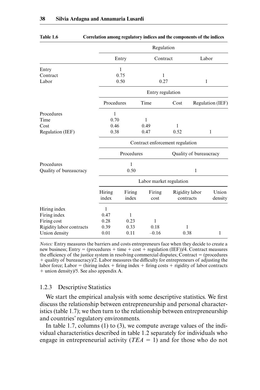|                          |                 |                 | Regulation              |                                 |       |                  |
|--------------------------|-----------------|-----------------|-------------------------|---------------------------------|-------|------------------|
|                          |                 | Entry           | Contract                |                                 | Labor |                  |
| Entry                    |                 | 1               |                         |                                 |       |                  |
| Contract                 |                 | 0.75            | 1                       |                                 |       |                  |
| Labor                    |                 | 0.50            | 0.27                    |                                 | 1     |                  |
|                          |                 |                 | Entry regulation        |                                 |       |                  |
|                          | Procedures      |                 | Time                    | Cost                            |       | Regulation (IEF) |
| Procedures               | 1               |                 |                         |                                 |       |                  |
| Time                     | 0.70            |                 | 1                       |                                 |       |                  |
| Cost                     | 0.46            |                 | 0.49                    | 1                               |       |                  |
| Regulation (IEF)         | 0.38            |                 | 0.47                    | 0.52                            |       | $\mathbf{1}$     |
|                          |                 |                 |                         | Contract enforcement regulation |       |                  |
|                          |                 | Procedures      |                         | Quality of bureaucracy          |       |                  |
| Procedures               |                 | 1               |                         |                                 |       |                  |
| Quality of bureaucracy   |                 | 0.50            |                         |                                 | 1     |                  |
|                          |                 |                 | Labor market regulation |                                 |       |                  |
|                          | Hiring<br>index | Firing<br>index | Firing<br>cost          | Rigidity labor<br>contracts     |       | Union<br>density |
| Hiring index             | 1               |                 |                         |                                 |       |                  |
| Firing index             | 0.47            | 1               |                         |                                 |       |                  |
| Firing cost              | 0.28            | 0.23            | 1                       |                                 |       |                  |
| Rigidity labor contracts | 0.39            | 0.33            | 0.18                    | 1                               |       |                  |
| Union density            | 0.01            | 0.11            | $-0.16$                 | 0.38                            |       | 1                |

#### **Table 1.6 Correlation among regulatory indices and the components of the indices**

*Notes:* Entry measures the barriers and costs entrepreneurs face when they decide to create a new business; Entry  $=$  (procedures  $+$  time  $+$  cost  $+$  regulation (IEF))/4. Contract measures the efficiency of the justice system in resolving commercial disputes; Contract  $=$  (procedures  $+$  quality of bureaucracy)/2. Labor measures the difficulty for entrepreneurs of adjusting the labor force; Labor  $=$  (hiring index  $+$  firing index  $+$  firing costs  $+$  rigidity of labor contracts union density)/5. See also appendix A.

### 1.2.3 Descriptive Statistics

We start the empirical analysis with some descriptive statistics. We first discuss the relationship between entrepreneurship and personal characteristics (table 1.7); we then turn to the relationship between entrepreneurship and countries' regulatory environments.

In table 1.7, columns (1) to (3), we compute average values of the individual characteristics described in table 1.2 separately for individuals who engage in entrepreneurial activity  $(TEA = 1)$  and for those who do not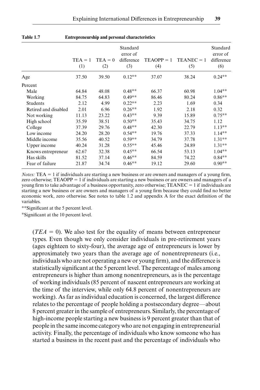|                      | $TEA = 1$<br>(1) | $TEA = 0$<br>(2) | Standard<br>error of<br>difference<br>(3) | $TEAOPP = 1$<br>(4) | $TEANCE = 1$<br>(5) | Standard<br>error of<br>difference<br>(6) |
|----------------------|------------------|------------------|-------------------------------------------|---------------------|---------------------|-------------------------------------------|
|                      |                  |                  |                                           |                     |                     |                                           |
| Age                  | 37.50            | 39.50            | $0.12**$                                  | 37.07               | 38.24               | $0.24**$                                  |
| Percent              |                  |                  |                                           |                     |                     |                                           |
| Male                 | 64.84            | 48.08            | $0.48**$                                  | 66.37               | 60.98               | $1.04**$                                  |
| Working              | 84.75            | 64.83            | $0.49**$                                  | 86.46               | 80.24               | $0.86**$                                  |
| Students             | 2.12             | 4.99             | $0.22**$                                  | 2.23                | 1.69                | 0.34                                      |
| Retired and disabled | 2.01             | 6.96             | $0.26**$                                  | 1.92                | 2.18                | 0.32                                      |
| Not working          | 11.13            | 23.22            | $0.43**$                                  | 9.39                | 15.89               | $0.75***$                                 |
| High school          | 35.59            | 38.51            | $0.50**$                                  | 35.43               | 34.75               | 1.12                                      |
| College              | 37.39            | 29.76            | $0.48**$                                  | 42.30               | 22.79               | $1.13**$                                  |
| Low income           | 24.20            | 28.20            | $0.54**$                                  | 19.76               | 37.33               | $1.14***$                                 |
| Middle income        | 35.56            | 40.52            | $0.59**$                                  | 34.79               | 37.78               | $1.31**$                                  |
| Upper income         | 40.24            | 31.28            | $0.55**$                                  | 45.46               | 24.89               | $1.31**$                                  |
| Knows entrepreneur   | 62.67            | 32.38            | $0.45**$                                  | 66.54               | 53.13               | $1.04**$                                  |
| Has skills           | 81.52            | 37.14            | $0.46**$                                  | 84.59               | 74.22               | $0.84**$                                  |
| Fear of failure      | 21.87            | 34.74            | $0.46**$                                  | 19.12               | 29.60               | $0.90**$                                  |

#### **Table 1.7 Entrepreneurship and personal characteristics**

*Notes:* TEA  $= 1$  if individuals are starting a new business or are owners and managers of a young firm, zero otherwise; TEAOPP = 1 if individuals are starting a new business or are owners and managers of a young firm to take advantage of a business opportunity, zero otherwise;  $\text{TLANCE} = 1$  if individuals are starting a new business or are owners and managers of a young firm because they could find no better economic work, zero otherwise. See notes to table 1.2 and appendix A for the exact definition of the variables.

∗∗Signifi cant at the 5 percent level.

∗Signifi cant at the 10 percent level.

 $(TEA = 0)$ . We also test for the equality of means between entrepreneur types. Even though we only consider individuals in pre- retirement years (ages eighteen to sixty-four), the average age of entrepreneurs is lower by approximately two years than the average age of nonentrepreneurs (i.e., individuals who are not operating a new or young firm), and the difference is statistically significant at the 5 percent level. The percentage of males among entrepreneurs is higher than among nonentrepreneurs, as is the percentage of working individuals (85 percent of nascent entrepreneurs are working at the time of the interview, while only 64.8 percent of nonentrepreneurs are working). As far as individual education is concerned, the largest difference relates to the percentage of people holding a postsecondary degree—about 8 percent greater in the sample of entrepreneurs. Similarly, the percentage of high- income people starting a new business is 9 percent greater than that of people in the same income category who are not engaging in entrepreneurial activity. Finally, the percentage of individuals who know someone who has started a business in the recent past and the percentage of individuals who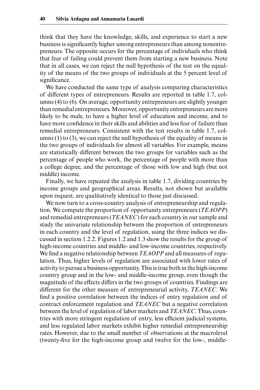think that they have the knowledge, skills, and experience to start a new business is significantly higher among entrepreneurs than among nonentrepreneurs. The opposite occurs for the percentage of individuals who think that fear of failing could prevent them from starting a new business. Note that in all cases, we can reject the null hypothesis of the test on the equality of the means of the two groups of individuals at the 5 percent level of significance.

We have conducted the same type of analysis comparing characteristics of different types of entrepreneurs. Results are reported in table 1.7, columns (4) to (6). On average, opportunity entrepreneurs are slightly younger than remedial entrepreneurs. Moreover, opportunity entrepreneurs are more likely to be male, to have a higher level of education and income, and to have more confidence in their skills and abilities and less fear of failure than remedial entrepreneurs. Consistent with the test results in table 1.7, columns (1) to (3), we can reject the null hypothesis of the equality of means in the two groups of individuals for almost all variables. For example, means are statistically different between the two groups for variables such as the percentage of people who work, the percentage of people with more than a college degree, and the percentage of those with low and high (but not middle) income.

Finally, we have repeated the analysis in table 1.7, dividing countries by income groups and geographical areas. Results, not shown but available upon request, are qualitatively identical to those just discussed.

We now turn to a cross-country analysis of entrepreneurship and regulation. We compute the proportion of opportunity entrepreneurs (*TEAOPP*) and remedial entrepreneurs (*TEANEC*) for each country in our sample and study the univariate relationship between the proportion of entrepreneurs in each country and the level of regulation, using the three indices we discussed in section 1.2.2. Figures 1.2 and 1.3 show the results for the group of high-income countries and middle- and low-income countries, respectively. We find a negative relationship between *TEAOPP* and all measures of regulation. Thus, higher levels of regulation are associated with lower rates of activity to pursue a business opportunity. This is true both in the high- income country group and in the low- and middle- income group, even though the magnitude of the effects differs in the two groups of countries. Findings are different for the other measure of entrepreneurial activity, *TEANEC*. We find a positive correlation between the indices of entry regulation and of contract enforcement regulation and *TEANEC* but a negative correlation between the level of regulation of labor markets and *TEANEC*. Thus, countries with more stringent regulation of entry, less efficient judicial systems, and less regulated labor markets exhibit higher remedial entrepreneurship rates. However, due to the small number of observations at the macrolevel (twenty-five for the high-income group and twelve for the low-, middle-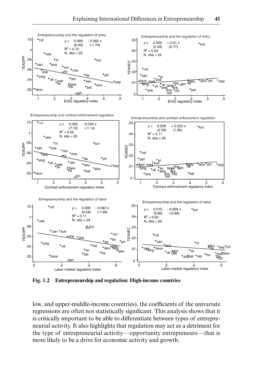

Fig. 1.2 Entrepreneurship and regulation: High-income countries

low, and upper-middle-income countries), the coefficients of the univariate regressions are often not statistically significant. This analysis shows that it is critically important to be able to differentiate between types of entrepreneurial activity. It also highlights that regulation may act as a detriment for the type of entrepreneurial activity—opportunity entrepreneurs—that is more likely to be a drive for economic activity and growth.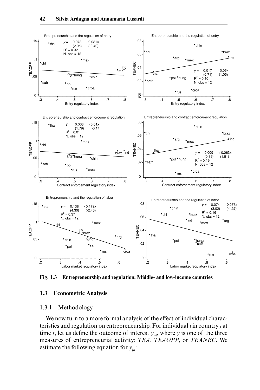

**Fig. 1.3 Entrepreneurship and regulation: Middle- and low- income countries**

#### **1.3 Econometric Analysis**

#### 1.3.1 Methodology

We now turn to a more formal analysis of the effect of individual characteristics and regulation on entrepreneurship. For individual *i* in country *j* at time *t*, let us define the outcome of interest  $y_{ijt}$ , where *y* is one of the three measures of entrepreneurial activity: *TEA*, *TEAOPP*, or *TEANEC*. We estimate the following equation for  $y_{ij}$ :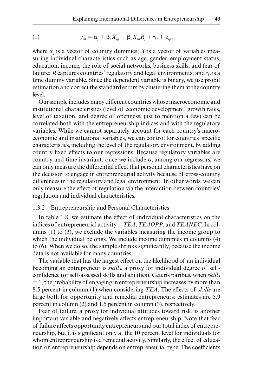(1) 
$$
y_{ijt} = \alpha_j + \beta_1 X_{ijt} + \beta_2 X_{ijt} R_j + \gamma_t + \varepsilon_{ijt},
$$

where  $\alpha_j$  is a vector of country dummies; *X* is a vector of variables measuring individual characteristics such as age, gender, employment status, education, income, the role of social networks, business skills, and fear of failure; *R* captures countries' regulatory and legal environments; and  $\gamma$ , is a time dummy variable. Since the dependent variable is binary, we use probit estimation and correct the standard errors by clustering them at the country level.

Our sample includes many different countries whose macroeconomic and institutional characteristics (level of economic development, growth rates, level of taxation, and degree of openness, just to mention a few) can be correlated both with the entrepreneurship indices and with the regulatory variables. While we cannot separately account for each country's macroeconomic and institutional variables, we can control for countries' specific characteristics, including the level of the regulatory environment, by adding country fixed effects to our regressions. Because regulatory variables are country and time invariant, once we include  $\alpha_j$  among our regressors, we can only measure the differential effect that personal characteristics have on the decision to engage in entrepreneurial activity because of cross- country differences in the regulatory and legal environment. In other words, we can only measure the effect of regulation via the interaction between countries' regulation and individual characteristics.

#### 1.3.2 Entrepreneurship and Personal Characteristics

In table 1.8, we estimate the effect of individual characteristics on the in dices of entrepreneurial activity—*TEA*, *TEAOPP*, and *TEANEC*. In columns (1) to (3), we exclude the variables measuring the income group to which the individual belongs. We include income dummies in columns (4) to (6). When we do so, the sample shrinks significantly, because the income data is not available for many countries.

The variable that has the largest effect on the likelihood of an individual becoming an entrepreneur is *skills,* a proxy for individual degree of self confidence (or self-assessed skills and abilities). Ceteris paribus, when *skills* - 1, the probability of engaging in entrepreneurship increases by more than 8.5 percent in column (1) when considering *TEA*. The effects of *skills* are large both for opportunity and remedial entrepreneurs: estimates are 5.9 percent in column (2) and 1.5 percent in column (3), respectively.

Fear of failure, a proxy for individual attitudes toward risk, is another important variable and negatively affects entrepreneurship. Note that fear of failure affects opportunity entrepreneurs and our total index of entrepreneurship, but it is significant only at the 10 percent level for individuals for whom entrepreneurship is a remedial activity. Similarly, the effect of education on entrepreneurship depends on entrepreneurial type. The coefficients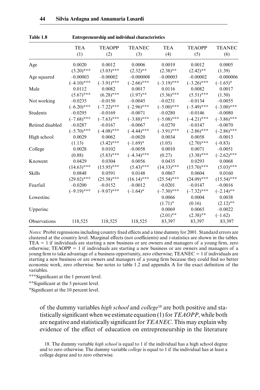|                  | <b>TEA</b>                 | <b>TEAOPP</b>              | <b>TEANEC</b>              | <b>TEA</b>                 | <b>TEAOPP</b>              | <b>TEANEC</b>              |
|------------------|----------------------------|----------------------------|----------------------------|----------------------------|----------------------------|----------------------------|
|                  | (1)                        | (2)                        | (3)                        | (4)                        | (5)                        | (6)                        |
| Age              | 0.0020                     | 0.0012                     | 0.0006                     | 0.0019                     | 0.0012                     | 0.0005                     |
|                  | $(3.20)$ ***               | $(3.03)$ ***               | $(2.32)$ **                | $(2.38)$ **                | $(2.42)$ **                | (1.39)                     |
| Age squared      | $-0.00003$                 | $-0.00002$                 | $-0.000008$                | $-0.00003$                 | $-0.00002$                 | $-0.000006$                |
|                  | $(-4.10)$ ***              | $(-3.91)$ ***              | $(-2.66)$ ***              | $(-3.19)$ ***              | $(-3.26)$ ***              | $(-1.65)^*$                |
| Male             | 0.0112                     | 0.0082                     | 0.0017                     | 0.0116                     | 0.0082                     | 0.0017                     |
|                  | $(5.67)$ ***               | $(6.28)$ ***               | $(1.97)$ **                | $(5.36)$ ***               | $(5.51)$ ***               | (1.50)                     |
| Not working      | $-0.0235$                  | $-0.0150$                  | $-0.0045$<br>$(-2.96)$ *** | $-0.0231$                  | $-0.0134$                  | $-0.0055$                  |
| Students         | $(-6.20)$ ***<br>$-0.0295$ | $(-7.22)$ ***<br>$-0.0169$ | $-0.0071$                  | $(-5.00)$ ***<br>$-0.0280$ | $(-5.49)$ ***<br>$-0.0146$ | $(-3.00)$ ***<br>$-0.0080$ |
| Retired disabled | $(-7.68)$ ***              | $(-7.63)$ ***              | $(-3.88)$ ***              | $(-5.08)$ ***              | $(-4.21)$ ***              | $(-3.86)$ ***              |
|                  | $-0.0287$                  | $-0.0167$                  | $-0.0067$                  | $-0.0270$                  | $-0.0147$                  | $-0.0070$                  |
| High school      | $(-5.70)$ ***              | $(-4.08)$ ***              | $(-4.44)$ ***              | $(-3.91)$ ***              | $(-2.86)$ ***              | $(-2.86)$ ***              |
|                  | 0.0029                     | 0.0062                     | $-0.0020$                  | 0.0034                     | 0.0058                     | $-0.0013$                  |
| College          | (1.13)                     | $(3.42)$ ***               | $(-1.69)^*$                | (1.05)                     | $(2.70)$ ***               | $(-0.83)$                  |
|                  | 0.0028                     | 0.0102                     | $-0.0058$                  | 0.0010                     | 0.0071                     | $-0.0051$                  |
| Knowent          | (0.88)                     | $(5.83)$ ***               | $(-4.34)$ ***              | (0.27)                     | $(3.38)$ ***               | $(-2.62)$ ***              |
|                  | 0.0429                     | 0.0304                     | 0.0056                     | 0.0435                     | 0.0293                     | 0.0068                     |
| <b>Skills</b>    | $(14.63)$ ***              | $(15.95)$ ***              | $(5.43)$ ***               | $(14.33)$ ***              | $(15.70)$ ***              | $(5.03)$ ***               |
|                  | 0.0848                     | 0.0591                     | 0.0148                     | 0.0867                     | 0.0604                     | 0.0160                     |
| Fearfail         | $(29.02)$ ***              | $(25.58)$ ***              | $(16.14)$ ***              | $(25.54)$ ***              | $(24.09)$ ***              | $(15.54)$ ***              |
|                  | $-0.0200$                  | $-0.0152$                  | $-0.0012$                  | $-0.0201$                  | $-0.0147$                  | $-0.0016$                  |
| Lowestinc        | $(-9.19)$ ***              | $(-9.07)$ ***              | $(-1.64)^*$                | $(-7.30)$ ***<br>0.0066    | $(-7.32)$ ***<br>0.0004    | $(-2.14)$ **<br>0.0038     |
| Upperinc         |                            |                            |                            | $(1.71)^*$<br>0.0069       | (0.16)<br>0.0065           | $(2.12)$ **<br>$-0.0022$   |
| Observations     | 118,525                    | 118,525                    | 118,525                    | $(2.01)$ **<br>83,397      | $(2.38)$ **<br>83,397      | $(-1.62)$<br>83,397        |
|                  |                            |                            |                            |                            |                            |                            |

**Table 1.8 Entrepreneurship and individual characteristics**

*Notes:* Probit regressions including country fixed effects and a time dummy for 2001. Standard errors are clustered at the country level. Marginal effects (not coefficients) and *t*- statistics are shown in the tables.  $TEA = 1$  if individuals are starting a new business or are owners and managers of a young firm, zero otherwise; TEAOPP - 1 if individuals are starting a new business or are owners and managers of a young firm to take advantage of a business opportunity, zero otherwise;  $\text{TLANCE} = 1$  if individuals are starting a new business or are owners and managers of a young firm because they could find no better economic work, zero otherwise. See notes to table 1.2 and appendix A for the exact definition of the variables.

∗∗∗Signifi cant at the 1 percent level.

∗∗Signifi cant at the 5 percent level.

∗Signifi cant at the 10 percent level.

of the dummy variables *high school* and *college*18 are both positive and statistically significant when we estimate equation (1) for *TEAOPP*, while both are negative and statistically significant for *TEANEC*. This may explain why evidence of the effect of education on entrepreneurship in the literature

18. The dummy variable *high school* is equal to 1 if the individual has a high school degree and to zero otherwise. The dummy variable *college* is equal to 1 if the individual has at least a college degree and to zero otherwise.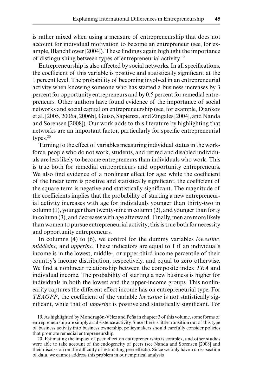is rather mixed when using a measure of entrepreneurship that does not account for individual motivation to become an entrepreneur (see, for example, Blanchflower [2004]). These findings again highlight the importance of distinguishing between types of entrepreneurial activity.19

Entrepreneurship is also affected by social networks. In all specifications, the coefficient of this variable is positive and statistically significant at the 1 percent level. The probability of becoming involved in an entrepreneurial activity when knowing someone who has started a business increases by 3 percent for opportunity entrepreneurs and by 0.5 percent for remedial entrepreneurs. Other authors have found evidence of the importance of social networks and social capital on entrepreneurship (see, for example, Djankov et al. [2005, 2006a, 2006b], Guiso, Sapienza, and Zingales [2004], and Nanda and Sorensen [2008]). Our work adds to this literature by highlighting that networks are an important factor, particularly for specific entrepreneurial types.<sup>20</sup>

Turning to the effect of variables measuring individual status in the workforce, people who do not work, students, and retired and disabled individuals are less likely to become entrepreneurs than individuals who work. This is true both for remedial entrepreneurs and opportunity entrepreneurs. We also find evidence of a nonlinear effect for age: while the coefficient of the linear term is positive and statistically significant, the coefficient of the square term is negative and statistically significant. The magnitude of the coefficients implies that the probability of starting a new entrepreneurial activity increases with age for individuals younger than thirty-two in  $\text{column } (1), \text{ younger than twenty-nine in column } (2), \text{ and younger than forty}$ in column (3), and decreases with age afterward. Finally, men are more likely than women to pursue entrepreneurial activity; this is true both for necessity and opportunity entrepreneurs.

In columns (4) to (6), we control for the dummy variables *lowestinc, middleinc,* and *upperinc.* These indicators are equal to 1 if an individual's income is in the lowest, middle-, or upper-third income percentile of their country's income distribution, respectively, and equal to zero otherwise. We find a nonlinear relationship between the composite index *TEA* and individual income. The probability of starting a new business is higher for individuals in both the lowest and the upper- income groups. This nonlinearity captures the different effect income has on entrepreneurial type. For *TEAOPP*, the coefficient of the variable *lowestinc* is not statistically significant, while that of *upperinc* is positive and statistically significant. For

19. As highlighted by Mondragón- Vélez and Peña in chapter 3 of this volume, some forms of entrepreneurship are simply a subsistence activity. Since there is little transition out of this type of business activity into business ownership, policymakers should carefully consider policies that promote remedial entrepreneurship.

20. Estimating the impact of peer effect on entrepreneurship is complex, and other studies were able to take account of the endogeneity of peers (see Nanda and Sorensen [2008] and their discussion on the difficulty of estimating peer effects). Since we only have a cross- section of data, we cannot address this problem in our empirical analysis.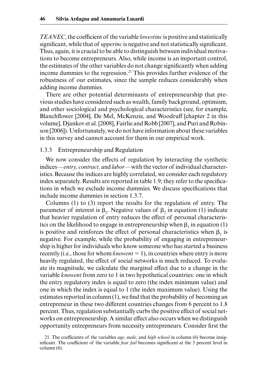*TEANEC*, the coefficient of the variable *lowestinc* is positive and statistically significant, while that of *upperinc* is negative and not statistically significant. Thus, again, it is crucial to be able to distinguish between individual motivations to become entrepreneurs. Also, while income is an important control, the estimates of the other variables do not change significantly when adding income dummies to the regression.<sup>21</sup> This provides further evidence of the robustness of our estimates, since the sample reduces considerably when adding income dummies.

There are other potential determinants of entrepreneurship that previous studies have considered such as wealth, family background, optimism, and other sociological and psychological characteristics (see, for example, Blanchflower [2004], De Mel, McKenzie, and Woodruff [chapter 2 in this volume], Djankov et al. [2008], Fairlie and Robb [2007], and Puri and Robinson [2006]). Unfortunately, we do not have information about these variables in this survey and cannot account for them in our empirical work.

#### 1.3.3 Entrepreneurship and Regulation

We now consider the effects of regulation by interacting the synthetic indices—*entry, contract,* and *labor*—with the vector of individual characteristics. Because the indices are highly correlated, we consider each regulatory index separately. Results are reported in table 1.9; they refer to the specifications in which we exclude income dummies. We discuss specifications that include income dummies in section 1.3.7.

Columns (1) to (3) report the results for the regulation of entry. The parameter of interest is  $\beta_2$ . Negative values of  $\beta_2$  in equation (1) indicate that heavier regulation of entry reduces the effect of personal characteristics on the likelihood to engage in entrepreneurship when  $\beta_1$  in equation (1) is positive and reinforces the effect of personal characteristics when  $\beta_1$  is negative. For example, while the probability of engaging in entrepreneurship is higher for individuals who know someone who has started a business recently (i.e., those for whom  $known = 1$ ), in countries where entry is more heavily regulated, the effect of social networks is much reduced. To evaluate its magnitude, we calculate the marginal effect due to a change in the variable *knowent* from zero to 1 in two hypothetical countries: one in which the entry regulatory index is equal to zero (the index minimum value) and one in which the index is equal to 1 (the index maximum value). Using the estimates reported in column  $(1)$ , we find that the probability of becoming an entrepreneur in these two different countries changes from 6 percent to 1.8 percent. Thus, regulation substantially curbs the positive effect of social networks on entrepreneurship. A similar effect also occurs when we distinguish opportunity entrepreneurs from necessity entrepreneurs. Consider first the

<sup>21.</sup> The coefficients of the variables *age, male,* and *high school* in column (6) become insignificant. The coefficient of the variable *fear fail* becomes significant at the 5 percent level in column (6).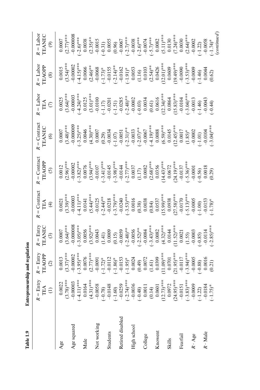| Table 1.9            |                                                                                                                                                                                                                                                                                              | Entrepreneurship and regulation                                                                                                                                                                                                                                                              |                                                                                                                                                                                                                                                                |                                                                                                                                                                                                                                                                                                                                                                                                       |                                                                                                                                                                                                                                                                                                                                                            |                                                                                                                                                                                                                                                                |                                                                                                                                                                                                                                                                                         |                                                                                                                                                                                                                                                                     |                                                                                                                                                                                                                                                                                            |
|----------------------|----------------------------------------------------------------------------------------------------------------------------------------------------------------------------------------------------------------------------------------------------------------------------------------------|----------------------------------------------------------------------------------------------------------------------------------------------------------------------------------------------------------------------------------------------------------------------------------------------|----------------------------------------------------------------------------------------------------------------------------------------------------------------------------------------------------------------------------------------------------------------|-------------------------------------------------------------------------------------------------------------------------------------------------------------------------------------------------------------------------------------------------------------------------------------------------------------------------------------------------------------------------------------------------------|------------------------------------------------------------------------------------------------------------------------------------------------------------------------------------------------------------------------------------------------------------------------------------------------------------------------------------------------------------|----------------------------------------------------------------------------------------------------------------------------------------------------------------------------------------------------------------------------------------------------------------|-----------------------------------------------------------------------------------------------------------------------------------------------------------------------------------------------------------------------------------------------------------------------------------------|---------------------------------------------------------------------------------------------------------------------------------------------------------------------------------------------------------------------------------------------------------------------|--------------------------------------------------------------------------------------------------------------------------------------------------------------------------------------------------------------------------------------------------------------------------------------------|
|                      | $\begin{aligned} &\phantom{000} \begin{array}{l} \text{Entry} \\ \text{TEA} \end{array} \\ &\phantom{0}\begin{array}{l} \text{(1)} \end{array} \end{aligned}$<br>R                                                                                                                           | $R = \text{Entry}$<br>TEAOPP                                                                                                                                                                                                                                                                 | $R = \frac{\text{Entry}}{\text{TLANCE}}$                                                                                                                                                                                                                       | $t =$ Contract<br>TEA<br>(4)                                                                                                                                                                                                                                                                                                                                                                          | $? =$ Contract<br>TEAOPP<br>(5)                                                                                                                                                                                                                                                                                                                            | $R =$ Contract<br>TEANEC<br>(6)                                                                                                                                                                                                                                | $\frac{1-\text{Labor}}{TEA}$                                                                                                                                                                                                                                                            | $R =$ Labor<br>TEAOPP<br>(8)                                                                                                                                                                                                                                        | $R =$ Labor<br>TEANEC<br>(9)                                                                                                                                                                                                                                                               |
| Age                  |                                                                                                                                                                                                                                                                                              |                                                                                                                                                                                                                                                                                              |                                                                                                                                                                                                                                                                |                                                                                                                                                                                                                                                                                                                                                                                                       |                                                                                                                                                                                                                                                                                                                                                            |                                                                                                                                                                                                                                                                |                                                                                                                                                                                                                                                                                         |                                                                                                                                                                                                                                                                     |                                                                                                                                                                                                                                                                                            |
| Age squared          |                                                                                                                                                                                                                                                                                              |                                                                                                                                                                                                                                                                                              |                                                                                                                                                                                                                                                                |                                                                                                                                                                                                                                                                                                                                                                                                       |                                                                                                                                                                                                                                                                                                                                                            |                                                                                                                                                                                                                                                                |                                                                                                                                                                                                                                                                                         |                                                                                                                                                                                                                                                                     |                                                                                                                                                                                                                                                                                            |
| Male                 |                                                                                                                                                                                                                                                                                              |                                                                                                                                                                                                                                                                                              |                                                                                                                                                                                                                                                                |                                                                                                                                                                                                                                                                                                                                                                                                       |                                                                                                                                                                                                                                                                                                                                                            |                                                                                                                                                                                                                                                                |                                                                                                                                                                                                                                                                                         |                                                                                                                                                                                                                                                                     |                                                                                                                                                                                                                                                                                            |
| Not working          |                                                                                                                                                                                                                                                                                              |                                                                                                                                                                                                                                                                                              |                                                                                                                                                                                                                                                                |                                                                                                                                                                                                                                                                                                                                                                                                       |                                                                                                                                                                                                                                                                                                                                                            |                                                                                                                                                                                                                                                                |                                                                                                                                                                                                                                                                                         |                                                                                                                                                                                                                                                                     |                                                                                                                                                                                                                                                                                            |
| Students             |                                                                                                                                                                                                                                                                                              |                                                                                                                                                                                                                                                                                              |                                                                                                                                                                                                                                                                |                                                                                                                                                                                                                                                                                                                                                                                                       |                                                                                                                                                                                                                                                                                                                                                            |                                                                                                                                                                                                                                                                |                                                                                                                                                                                                                                                                                         |                                                                                                                                                                                                                                                                     |                                                                                                                                                                                                                                                                                            |
| Retired disabled     |                                                                                                                                                                                                                                                                                              |                                                                                                                                                                                                                                                                                              |                                                                                                                                                                                                                                                                |                                                                                                                                                                                                                                                                                                                                                                                                       |                                                                                                                                                                                                                                                                                                                                                            |                                                                                                                                                                                                                                                                |                                                                                                                                                                                                                                                                                         |                                                                                                                                                                                                                                                                     |                                                                                                                                                                                                                                                                                            |
| High school          |                                                                                                                                                                                                                                                                                              |                                                                                                                                                                                                                                                                                              |                                                                                                                                                                                                                                                                |                                                                                                                                                                                                                                                                                                                                                                                                       |                                                                                                                                                                                                                                                                                                                                                            |                                                                                                                                                                                                                                                                |                                                                                                                                                                                                                                                                                         |                                                                                                                                                                                                                                                                     |                                                                                                                                                                                                                                                                                            |
| College              |                                                                                                                                                                                                                                                                                              |                                                                                                                                                                                                                                                                                              |                                                                                                                                                                                                                                                                |                                                                                                                                                                                                                                                                                                                                                                                                       |                                                                                                                                                                                                                                                                                                                                                            |                                                                                                                                                                                                                                                                |                                                                                                                                                                                                                                                                                         |                                                                                                                                                                                                                                                                     |                                                                                                                                                                                                                                                                                            |
| Knowent              |                                                                                                                                                                                                                                                                                              |                                                                                                                                                                                                                                                                                              |                                                                                                                                                                                                                                                                |                                                                                                                                                                                                                                                                                                                                                                                                       |                                                                                                                                                                                                                                                                                                                                                            |                                                                                                                                                                                                                                                                |                                                                                                                                                                                                                                                                                         |                                                                                                                                                                                                                                                                     |                                                                                                                                                                                                                                                                                            |
| <b>Skills</b>        |                                                                                                                                                                                                                                                                                              |                                                                                                                                                                                                                                                                                              |                                                                                                                                                                                                                                                                |                                                                                                                                                                                                                                                                                                                                                                                                       |                                                                                                                                                                                                                                                                                                                                                            |                                                                                                                                                                                                                                                                |                                                                                                                                                                                                                                                                                         |                                                                                                                                                                                                                                                                     |                                                                                                                                                                                                                                                                                            |
| Fearfail             |                                                                                                                                                                                                                                                                                              |                                                                                                                                                                                                                                                                                              |                                                                                                                                                                                                                                                                |                                                                                                                                                                                                                                                                                                                                                                                                       |                                                                                                                                                                                                                                                                                                                                                            |                                                                                                                                                                                                                                                                |                                                                                                                                                                                                                                                                                         |                                                                                                                                                                                                                                                                     |                                                                                                                                                                                                                                                                                            |
| $R \cdot \text{Age}$ |                                                                                                                                                                                                                                                                                              |                                                                                                                                                                                                                                                                                              |                                                                                                                                                                                                                                                                |                                                                                                                                                                                                                                                                                                                                                                                                       |                                                                                                                                                                                                                                                                                                                                                            |                                                                                                                                                                                                                                                                |                                                                                                                                                                                                                                                                                         |                                                                                                                                                                                                                                                                     |                                                                                                                                                                                                                                                                                            |
| $R \cdot$ Male       | $\begin{array}{l} 0.0022\\[-4pt] 0.0003\\[-4pt] 0.0003\\[-4pt] 0.0003\\[-4pt] 0.0003\\[-4pt] 0.0003\\[-4pt] 0.0003\\[-4pt] 0.0003\\[-4pt] 0.0003\\[-4pt] 0.0003\\[-4pt] 0.0003\\[-4pt] 0.0003\\[-4pt] 0.0003\\[-4pt] 0.0003\\[-4pt] 0.0003\\[-4pt] 0.0003\\[-4pt] 0.0003\\[-4pt] 0.0003\\[-$ | $\begin{array}{l} 0.0013\\[-4pt] 0.0000\\[-4pt] 0.0000\\[-4pt] 0.0000\\[-4pt] 0.0000\\[-4pt] 0.0000\\[-4pt] 0.0000\\[-4pt] 0.0000\\[-4pt] 0.0000\\[-4pt] 0.0000\\[-4pt] 0.0000\\[-4pt] 0.0000\\[-4pt] 0.0000\\[-4pt] 0.0000\\[-4pt] 0.0000\\[-4pt] 0.0000\\[-4pt] 0.0000\\[-4pt] 0.0000\\[-$ | $\begin{array}{l} 0.0007\\ 0.00008\\ 0.00008\\ 0.00008\\ 0.00008\\ 0.00008\\ 0.00008\\ 0.00008\\ 0.00008\\ 0.00008\\ 0.00008\\ 0.00008\\ 0.00008\\ 0.00008\\ 0.00008\\ 0.00008\\ 0.00008\\ 0.00008\\ 0.00008\\ 0.00008\\ 0.00008\\ 0.00008\\ 0.00008\\ 0.0000$ | $\begin{array}{l} 0.0021\\ (3.39)_{\overset{***}{7}}\\ (3.39)_{\overset{***}{7}}\\ (4.11)_{\overset{***}{7}}\\ (7.39)_{\overset{***}{7}}\\ (9.39)_{\overset{***}{7}}\\ (111)_{\overset{***}{7}}\\ (111)_{\overset{***}{7}}\\ (111)_{\overset{***}{7}}\\ (111)_{\overset{***}{7}}\\ (111)_{\overset{***}{7}}\\ (111)_{\overset{***}{7}}\\ (111)_{\overset{***}{7}}\\ (111)_{\overset{***}{7}}\\ (111)$ | $\begin{array}{l} 0.0012 \\ 0.96^{***} \\ (-3.82)^{***} \\ (-3.82)^{***} \\ (0.0000 \\ (-3.62)^{***} \\ (1.41)^{***} \\ (-3.41)^{***} \\ (-3.41)^{***} \\ (-3.614) \\ (-3.614) \\ (-3.614) \\ (-3.614) \\ (-3.614) \\ (-3.614) \\ (-3.614) \\ (-3.614) \\ (-3.614) \\ (-3.614) \\ (-3.614) \\ (-3.614) \\ (-3.614) \\ (-3.614) \\ (-3.614) \\ (-3.614) \\$ | $\begin{array}{l} 0.0007\\ 0.00008\\ 0.00008\\ 0.00008\\ 0.00008\\ 0.00008\\ 0.00008\\ 0.00008\\ 0.00008\\ 0.00008\\ 0.00008\\ 0.00008\\ 0.00008\\ 0.00008\\ 0.00008\\ 0.00008\\ 0.00008\\ 0.00008\\ 0.00008\\ 0.00008\\ 0.00008\\ 0.00008\\ 0.00008\\ 0.0000$ | $\begin{array}{l} 0.025\\[-4.2mm] 0.0003\\[-4.2mm] 0.0003\\[-4.2mm] 0.0003\\[-4.2mm] 0.012\\[-4.2mm] 0.012\\[-4.2mm] 0.012\\[-4.2mm] 0.012\\[-4.2mm] 0.012\\[-4.2mm] 0.012\\[-4.2mm] 0.012\\[-4.2mm] 0.012\\[-4.2mm] 0.012\\[-4.2mm] 0.012\\[-4.2mm] 0.012\\[-4.2mm] 0.012\\[-4.2mm] 0$ | $\begin{array}{l} 0.015, \\ 0.00002, \\ 0.00000\\ 0.0000\\ 0.0000\\ 0.0000\\ 0.0000\\ 0.0000\\ 0.0000\\ 0.0000\\ 0.0000\\ 0.0000\\ 0.0000\\ 0.0000\\ 0.0000\\ 0.0000\\ 0.0000\\ 0.0000\\ 0.0000\\ 0.0000\\ 0.0000\\ 0.0000\\ 0.0000\\ 0.0000\\ 0.0000\\ 0.0000\\ 0$ | $\begin{array}{l} 0.0007\\[-4pt] 0.000008\\[-4pt] 0.000008\\[-4pt] 0.0038\\[-4pt] 0.0038\\[-4pt] 0.0038\\[-4pt] 0.0015\\[-4pt] 0.0055\\[-4pt] 0.0055\\[-4pt] 0.0057\\[-4pt] 0.0057\\[-4pt] 0.0057\\[-4pt] 0.007\\[-4pt] 0.0038\\[-4pt] 0.0038\\[-4pt] 0.0038\\[-4pt] 0.0030\\[-4pt] 0.003$ |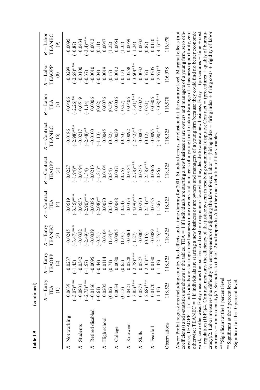|                      | $\begin{array}{c} \mathsf{=}\ \mathsf{Entry} \\ \mathsf{TEA} \\ \mathrm{(1)} \end{array}$                                                                                                                                                                                                                                                                       | $R =$ Entry<br>TEAOPP<br>(2)                                                                                                                                                                                                                                                                          | $R =$ Entry<br>TEANEC<br>(3)                                                                                                                                                                                                                                                                                                               | $\frac{1}{\text{TEA}}$<br>$\frac{1}{\text{TEA}}$                                                                                                                                         | $=$ Contract<br>$\begin{array}{c}\n\stackrel{\circ}{\text{TEADPP}}\n\\ \n(5)\n\end{array}$                                                                                                                                                                                                                                       | $R =$ Contract<br>TEANEC<br>(6)                                                                                                                                                                                                                                                                     | $R =$ Labor<br>TEA<br>(7)                                                                                                                                                                                                                                                       | $R =$ Labor<br>TEAOPP<br>(8)                                                                                                                                                                                                                                                                                       | $R = Lab$ o:<br>$\begin{tabular}{c} \bf{TRAMEC} \\ (9) \\ \end{tabular}$                                                                                                                                                                                                                                                                                                                                                                                                  |
|----------------------|-----------------------------------------------------------------------------------------------------------------------------------------------------------------------------------------------------------------------------------------------------------------------------------------------------------------------------------------------------------------|-------------------------------------------------------------------------------------------------------------------------------------------------------------------------------------------------------------------------------------------------------------------------------------------------------|--------------------------------------------------------------------------------------------------------------------------------------------------------------------------------------------------------------------------------------------------------------------------------------------------------------------------------------------|------------------------------------------------------------------------------------------------------------------------------------------------------------------------------------------|----------------------------------------------------------------------------------------------------------------------------------------------------------------------------------------------------------------------------------------------------------------------------------------------------------------------------------|-----------------------------------------------------------------------------------------------------------------------------------------------------------------------------------------------------------------------------------------------------------------------------------------------------|---------------------------------------------------------------------------------------------------------------------------------------------------------------------------------------------------------------------------------------------------------------------------------|--------------------------------------------------------------------------------------------------------------------------------------------------------------------------------------------------------------------------------------------------------------------------------------------------------------------|---------------------------------------------------------------------------------------------------------------------------------------------------------------------------------------------------------------------------------------------------------------------------------------------------------------------------------------------------------------------------------------------------------------------------------------------------------------------------|
| R · Not working      |                                                                                                                                                                                                                                                                                                                                                                 |                                                                                                                                                                                                                                                                                                       |                                                                                                                                                                                                                                                                                                                                            |                                                                                                                                                                                          |                                                                                                                                                                                                                                                                                                                                  |                                                                                                                                                                                                                                                                                                     |                                                                                                                                                                                                                                                                                 |                                                                                                                                                                                                                                                                                                                    |                                                                                                                                                                                                                                                                                                                                                                                                                                                                           |
| R · Students         |                                                                                                                                                                                                                                                                                                                                                                 |                                                                                                                                                                                                                                                                                                       |                                                                                                                                                                                                                                                                                                                                            |                                                                                                                                                                                          |                                                                                                                                                                                                                                                                                                                                  |                                                                                                                                                                                                                                                                                                     |                                                                                                                                                                                                                                                                                 |                                                                                                                                                                                                                                                                                                                    |                                                                                                                                                                                                                                                                                                                                                                                                                                                                           |
| R · Retired disabled |                                                                                                                                                                                                                                                                                                                                                                 |                                                                                                                                                                                                                                                                                                       |                                                                                                                                                                                                                                                                                                                                            |                                                                                                                                                                                          |                                                                                                                                                                                                                                                                                                                                  |                                                                                                                                                                                                                                                                                                     |                                                                                                                                                                                                                                                                                 |                                                                                                                                                                                                                                                                                                                    |                                                                                                                                                                                                                                                                                                                                                                                                                                                                           |
| R · High school      |                                                                                                                                                                                                                                                                                                                                                                 |                                                                                                                                                                                                                                                                                                       |                                                                                                                                                                                                                                                                                                                                            |                                                                                                                                                                                          |                                                                                                                                                                                                                                                                                                                                  |                                                                                                                                                                                                                                                                                                     |                                                                                                                                                                                                                                                                                 |                                                                                                                                                                                                                                                                                                                    |                                                                                                                                                                                                                                                                                                                                                                                                                                                                           |
| $R \cdot$ College    |                                                                                                                                                                                                                                                                                                                                                                 |                                                                                                                                                                                                                                                                                                       |                                                                                                                                                                                                                                                                                                                                            |                                                                                                                                                                                          |                                                                                                                                                                                                                                                                                                                                  |                                                                                                                                                                                                                                                                                                     |                                                                                                                                                                                                                                                                                 |                                                                                                                                                                                                                                                                                                                    |                                                                                                                                                                                                                                                                                                                                                                                                                                                                           |
| R · Knowent          |                                                                                                                                                                                                                                                                                                                                                                 |                                                                                                                                                                                                                                                                                                       |                                                                                                                                                                                                                                                                                                                                            |                                                                                                                                                                                          |                                                                                                                                                                                                                                                                                                                                  |                                                                                                                                                                                                                                                                                                     |                                                                                                                                                                                                                                                                                 |                                                                                                                                                                                                                                                                                                                    |                                                                                                                                                                                                                                                                                                                                                                                                                                                                           |
| $R \cdot$ Skills     |                                                                                                                                                                                                                                                                                                                                                                 |                                                                                                                                                                                                                                                                                                       |                                                                                                                                                                                                                                                                                                                                            |                                                                                                                                                                                          |                                                                                                                                                                                                                                                                                                                                  |                                                                                                                                                                                                                                                                                                     |                                                                                                                                                                                                                                                                                 |                                                                                                                                                                                                                                                                                                                    |                                                                                                                                                                                                                                                                                                                                                                                                                                                                           |
| R · Fearfail         | $\begin{array}{l} -0.639, \\ (-3.07)_{\text{***}} \\ (-3.0801, \\ (-3.0166) \\ (-6.01) \\ (-6.01) \\ (-6.01) \\ (-6.01) \\ (-6.01) \\ (-6.01) \\ (-6.01) \\ (-6.01) \\ (-6.01) \\ (-6.01) \\ (-6.01) \\ (-6.01) \\ (-6.01) \\ (-6.01) \\ (-6.01) \\ (-6.01) \\ (-6.01) \\ (-6.01) \\ (-6.01) \\ (-6.01) \\ (-6.01) \\ (-6.01) \\ (-6.01) \\ (-6.01) \\ (-6.01)$ | $\begin{array}{l} 0.0237\\ -1.45)\\ -1.57)\\ -1.57)\\ -1.57)\\ -1.9\\ -1.9\\ -1.9\\ -1.9\\ -1.008\\ -1.008\\ -1.008\\ -1.008\\ -1.008\\ -1.008\\ -1.008\\ -1.008\\ -1.0027\\ -1.003\\ -1.003\\ -1.003\\ -1.003\\ -1.003\\ -1.003\\ -1.003\\ -1.003\\ -1.003\\ -1.003\\ -1.003\\ -1.003\\ -1.003\\ -1$ | $\begin{array}{l} \left( \begin{matrix} 1 & 0 & 0 & 0 \\ 0 & 0 & 0 & 0 \\ 0 & 0 & 0 & 0 \\ 0 & 0 & 0 & 0 \\ 0 & 0 & 0 & 0 \\ 0 & 0 & 0 & 0 \\ 0 & 0 & 0 & 0 \\ 0 & 0 & 0 & 0 \\ 0 & 0 & 0 & 0 \\ 0 & 0 & 0 & 0 \\ 0 & 0 & 0 & 0 \\ 0 & 0 & 0 & 0 \\ 0 & 0 & 0 & 0 \\ 0 & 0 & 0 & 0 \\ 0 & 0 & 0 & 0 \\ 0 & 0 & 0 & 0 \\ 0 & 0 & 0 & 0 \\ $ | $-10.619$<br>$-10.653$<br>$-10.653$<br>$-10.638$<br>$-10.638$<br>$-10.038$<br>$-10.038$<br>$-10.034$<br>$-10.0373$<br>$-10.0373$<br>$-10.0373$<br>$-10.0373$<br>$-10.0125$<br>$-10.0125$ | $\begin{array}{l} 77.7\\[-1.34] \\[-1.34] \\[-1.34] \\[-1.34] \\[-1.34] \\[-1.34] \\[-1.34] \\[-1.34] \\[-1.34] \\[-1.34] \\[-1.34] \\[-1.34] \\[-1.34] \\[-1.34] \\[-1.34] \\[-1.34] \\[-1.34] \\[-1.34] \\[-1.34] \\[-1.34] \\[-1.34] \\[-1.34] \\[-1.34] \\[-1.34] \\[-1.34] \\[-1.34] \\[-1.34] \\[-1.34] \\[-1.34] \\[-1.3$ | $\begin{array}{l} 0.186 \\ 0.017 \\ 0.017 \\ 0.010 \\ 0.004 \\ 0.003 \\ 0.004 \\ 0.003 \\ 0.004 \\ 0.004 \\ 0.003 \\ 0.003 \\ 0.003 \\ 0.003 \\ 0.003 \\ 0.003 \\ 0.003 \\ 0.003 \\ 0.003 \\ 0.003 \\ 0.003 \\ 0.003 \\ 0.003 \\ 0.003 \\ 0.003 \\ 0.003 \\ 0.003 \\ 0.003 \\ 0.003 \\ 0.003 \\ 0.$ | $\begin{array}{l} (46.8\pm 0.0000)\\ (46.8\pm 0.0000)\\ (40.8\pm 0.0000)\\ (40.8\pm 0.0000)\\ (40.8\pm 0.0000)\\ (40.8\pm 0.0000)\\ (40.8\pm 0.0000)\\ (40.8\pm 0.0000)\\ (40.8\pm 0.0000)\\ (40.8\pm 0.0000)\\ (40.8\pm 0.0000)\\ (40.8\pm 0.0000)\\ (40.8\pm 0.0000)\\ (40.8$ | $\begin{array}{l} 0.0299\\ - (2.68) ^{**}\\ - (3.7)\\ - (3.7)\\ - (3.9)\\ - (3.9)\\ - (3.9)\\ - (3.0010\\ - (3.0010\\ - (3.0010\\ - (3.0010\\ - (3.0010\\ - (3.0010\\ - (3.0010\\ - (3.0010\\ - (3.0010\\ - (3.0010\\ - (3.0010\\ - (3.0010\\ - (3.0010\\ - (3.0010\\ - (3.0010\\ - (3.0010\\ - (3.0010\\ - (3.00$ | $\begin{array}{l} \mathcal{A}(\mathcal{X},\mathcal{Y}) = \mathcal{A}(\mathcal{X},\mathcal{Y}) = \mathcal{A}(\mathcal{X},\mathcal{Y}) = \mathcal{A}(\mathcal{X},\mathcal{Y}) = \mathcal{A}(\mathcal{X},\mathcal{Y}) = \mathcal{A}(\mathcal{X},\mathcal{Y}) = \mathcal{A}(\mathcal{X},\mathcal{Y}) = \mathcal{A}(\mathcal{X},\mathcal{Y}) = \mathcal{A}(\mathcal{X},\mathcal{Y}) = \mathcal{A}(\mathcal{X},\mathcal{Y}) = \mathcal{A}(\mathcal{X},\mathcal{Y}) = \mathcal{$ |
| Observations         | 118,525                                                                                                                                                                                                                                                                                                                                                         | 118,525                                                                                                                                                                                                                                                                                               | 118,525                                                                                                                                                                                                                                                                                                                                    | 118,525                                                                                                                                                                                  | 118,525                                                                                                                                                                                                                                                                                                                          | 118,525                                                                                                                                                                                                                                                                                             | 116,978                                                                                                                                                                                                                                                                         | 116,978                                                                                                                                                                                                                                                                                                            | 116,978                                                                                                                                                                                                                                                                                                                                                                                                                                                                   |
|                      | $\frac{1}{1}$                                                                                                                                                                                                                                                                                                                                                   |                                                                                                                                                                                                                                                                                                       |                                                                                                                                                                                                                                                                                                                                            |                                                                                                                                                                                          |                                                                                                                                                                                                                                                                                                                                  |                                                                                                                                                                                                                                                                                                     |                                                                                                                                                                                                                                                                                 | $\frac{1}{2}$                                                                                                                                                                                                                                                                                                      |                                                                                                                                                                                                                                                                                                                                                                                                                                                                           |

**Table 1.9** (continued)

Table 1.9

(continued)

*Notes:* Probit regressions including country fixed effects and a time dummy for 2001. Standard errors are clustered at the country level. Marginal effects (not 1 if individuals are starting a new business or are owners and managers of a young fi rm to take advantage of a business opportunity, zero 1 if individuals are starting a new business or are owners and managers of a young firm because they could find no better economic (procedures + time + cost (hiring index  $+$  firing index  $+$  firing costs  $+$  rigidity of labor erwise; TEAOPP = 1 if individuals are starting a new business or are owners and managers of a young firm to take advantage of a business opportunity, zero otherwise; TEANEC = 1 if individuals are starting a new business or are owners and managers of a young firm because they could find no better economic + regulation (IEF))/4. Contract measures the efficiency of the justice system in resolving commercial disputes; Contract = (procedures + quality of bureaucracy)/2. Labor measures the difficulty for entrepreneurs of adjusting the labor force; Labor = (hiring index + firing index + firing costs + rigidity of labor<br>contracts + union density)/5. See notes to table 1.2 and appen Notes: Probit regressions including country fixed effects and a time dummy for 2001. Standard errors are clustered at the country level. Marginal effects (not coefficients) and *t*-statistics are shown in the tables. TEA = 1 if individuals are starting a new business or are owners and managers of a young firm, zero oth-1 if individuals are starting a new business or are owners and managers of a young firm, zero othwork, zero otherwise. Entry measures the barriers and costs entrepreneurs face when they decide to create a new business; Entry = (procedures + time + cost (procedures quality of bureauwork, zero otherwise. Entry measures the barriers and costs entrepreneurs face when they decide to create a new business; Entry -+ regulation (IEF))/4. Contract measures the efficiency of the justice system in resolving commercial disputes; Contract = contracts  $+$  union density)/5. See notes to table 1.2 and appendix A for the exact definition of the variables. cracy)/2. Labor measures the difficulty for entrepreneurs of adjusting the labor force; Labor  $=$ coefficients) and *t*-statistics are shown in the tables. TEA  $=$ otherwise;  $TEANIEC =$ erwise;  $TEAOPP =$ 

\*\*\* Significant at the 1 percent level. ∗∗∗Signifi cant at the 1 percent level.

\*\* Significant at the 5 percent level. ∗∗Signifi cant at the 5 percent level.

'Significant at the 10 percent level. ∗Signifi cant at the 10 percent level.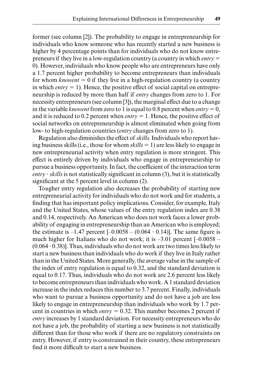former (see column [2]). The probability to engage in entrepreneurship for individuals who know someone who has recently started a new business is higher by 4 percentage points than for individuals who do not know entrepreneurs if they live in a low- regulation country (a country in which *entry* - 0). However, individuals who know people who are entrepreneurs have only a 1.7 percent higher probability to become entrepreneurs than individuals for whom  $known = 0$  if they live in a high-regulation country (a country in which  $entry = 1$ ). Hence, the positive effect of social capital on entrepreneurship is reduced by more than half if *entry* changes from zero to 1. For necessity entrepreneurs (see column [3]), the marginal effect due to a change in the variable *knowent* from zero to 1 is equal to 0.8 percent when *entry* = 0, and it is reduced to 0.2 percent when  $entry = 1$ . Hence, the positive effect of social networks on entrepreneurship is almost eliminated when going from low- to high-regulation countries *(entry* changes from zero to 1).

Regulation also diminishes the effect of *skills.* Individuals who report having business skills (i.e., those for whom *skills* = 1) are less likely to engage in new entrepreneurial activity when entry regulation is more stringent. This effect is entirely driven by individuals who engage in entrepreneurship to pursue a business opportunity. In fact, the coefficient of the interaction term  $entry · skills$  is not statistically significant in column  $(3)$ , but it is statistically significant at the 5 percent level in column (2).

Tougher entry regulation also decreases the probability of starting new entrepreneurial activity for individuals who do not work and for students, a finding that has important policy implications. Consider, for example, Italy and the United States, whose values of the entry regulation index are 0.38 and 0.14, respectively. An American who does not work faces a lower probability of engaging in entrepreneurship than an American who is employed; the estimate is  $-1.47$  percent  $[-0.0058 - (0.064 \cdot 0.14)]$ . The same figure is much higher for Italians who do not work; it is  $-3.01$  percent  $[-0.0058 (0.064 \cdot 0.38)$ ]. Thus, individuals who do not work are two times less likely to start a new business than individuals who do work if they live in Italy rather than in the United States. More generally, the average value in the sample of the index of entry regulation is equal to 0.32, and the standard deviation is equal to 0.17. Thus, individuals who do not work are 2.6 percent less likely to become entrepreneurs than individuals who work. A 1 standard deviation increase in the index reduces this number to 3.7 percent. Finally, individuals who want to pursue a business opportunity and do not have a job are less likely to engage in entrepreneurship than individuals who work by 1.7 percent in countries in which  $entry = 0.32$ . This number becomes 2 percent if *entry* increases by 1 standard deviation. For necessity entrepreneurs who do not have a job, the probability of starting a new business is not statistically different than for those who work if there are no regulatory constraints on entry. However, if entry is constrained in their country, these entrepreneurs find it more difficult to start a new business.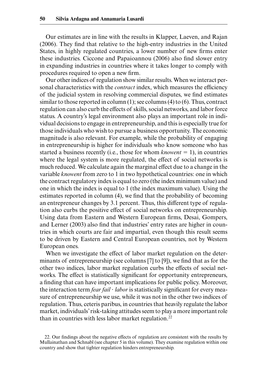Our estimates are in line with the results in Klapper, Laeven, and Rajan  $(2006)$ . They find that relative to the high-entry industries in the United States, in highly regulated countries, a lower number of new firms enter these industries. Ciccone and Papaioannou (2006) also find slower entry in expanding industries in countries where it takes longer to comply with procedures required to open a new firm.

Our other indices of regulation show similar results. When we interact personal characteristics with the *contract* index, which measures the efficiency of the judicial system in resolving commercial disputes, we find estimates similar to those reported in column  $(1)$ ; see columns  $(4)$  to  $(6)$ . Thus, contract regulation can also curb the effects of skills, social networks, and labor force status. A country's legal environment also plays an important role in individual decisions to engage in entrepreneurship, and this is especially true for those individuals who wish to pursue a business opportunity. The economic magnitude is also relevant. For example, while the probability of engaging in entrepreneurship is higher for individuals who know someone who has started a business recently (i.e., those for whom  $known = 1$ ), in countries where the legal system is more regulated, the effect of social networks is much reduced. We calculate again the marginal effect due to a change in the variable *knowent* from zero to 1 in two hypothetical countries: one in which the contract regulatory index is equal to zero (the index minimum value) and one in which the index is equal to 1 (the index maximum value). Using the estimates reported in column  $(4)$ , we find that the probability of becoming an entrepreneur changes by 3.1 percent. Thus, this different type of regulation also curbs the positive effect of social networks on entrepreneurship. Using data from Eastern and Western European firms, Desai, Gompers, and Lerner (2003) also find that industries' entry rates are higher in countries in which courts are fair and impartial, even though this result seems to be driven by Eastern and Central European countries, not by Western European ones.

When we investigate the effect of labor market regulation on the determinants of entrepreneurship (see columns  $[7]$  to  $[9]$ ), we find that as for the other two indices, labor market regulation curbs the effects of social networks. The effect is statistically significant for opportunity entrepreneurs, a finding that can have important implications for public policy. Moreover, the interaction term *fear fail* · labor is statistically significant for every measure of entrepreneurship we use, while it was not in the other two indices of regulation. Thus, ceteris paribus, in countries that heavily regulate the labor market, individuals' risk- taking attitudes seem to play a more important role than in countries with less labor market regulation.<sup>22</sup>

<sup>22.</sup> Our findings about the negative effects of regulation are consistent with the results by Mullainathan and Schnabl (see chapter 5 in this volume). They examine regulation within one country and show that tighter regulation hinders entrepreneurship.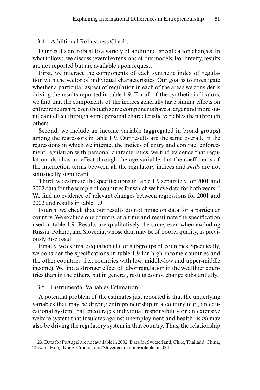#### 1.3.4 Additional Robustness Checks

Our results are robust to a variety of additional specification changes. In what follows, we discuss several extensions of our models. For brevity, results are not reported but are available upon request.

First, we interact the components of each synthetic index of regulation with the vector of individual characteristics. Our goal is to investigate whether a particular aspect of regulation in each of the areas we consider is driving the results reported in table 1.9. For all of the synthetic indicators, we find that the components of the indices generally have similar effects on entrepreneurship, even though some components have a larger and more significant effect through some personal characteristic variables than through others.

Second, we include an income variable (aggregated in broad groups) among the regressors in table 1.9. Our results are the same overall. In the regressions in which we interact the indices of entry and contract enforcement regulation with personal characteristics, we find evidence that regulation also has an effect through the age variable, but the coefficients of the interaction terms between all the regulatory indices and *skills* are not statistically significant.

Third, we estimate the specifications in table 1.9 separately for 2001 and 2002 data for the sample of countries for which we have data for both years.<sup>23</sup> We find no evidence of relevant changes between regressions for 2001 and 2002 and results in table 1.9.

Fourth, we check that our results do not hinge on data for a particular country. We exclude one country at a time and reestimate the specification used in table 1.9. Results are qualitatively the same, even when excluding Russia, Poland, and Slovenia, whose data may be of poorer quality, as previously discussed.

Finally, we estimate equation (1) for subgroups of countries. Specifically, we consider the specifications in table 1.9 for high-income countries and the other countries (i.e., countries with low, middle- low and upper-middle income). We find a stronger effect of labor regulation in the wealthier countries than in the others, but in general, results do not change substantially.

#### 1.3.5 Instrumental Variables Estimation

A potential problem of the estimates just reported is that the underlying variables that may be driving entrepreneurship in a country (e.g., an educational system that encourages individual responsibility or an extensive welfare system that insulates against unemployment and health risks) may also be driving the regulatory system in that country. Thus, the relationship

<sup>23.</sup> Data for Portugal are not available in 2002. Data for Switzerland, Chile, Thailand, China, Taiwan, Hong Kong, Croatia, and Slovenia are not available in 2001.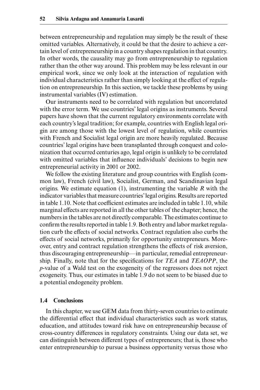between entrepreneurship and regulation may simply be the result of these omitted variables. Alternatively, it could be that the desire to achieve a certain level of entrepreneurship in a country shapes regulation in that country. In other words, the causality may go from entrepreneurship to regulation rather than the other way around. This problem may be less relevant in our empirical work, since we only look at the interaction of regulation with individual characteristics rather than simply looking at the effect of regulation on entrepreneurship. In this section, we tackle these problems by using instrumental variables (IV) estimation.

Our instruments need to be correlated with regulation but uncorrelated with the error term. We use countries' legal origins as instruments. Several papers have shown that the current regulatory environments correlate with each country's legal tradition; for example, countries with English legal origin are among those with the lowest level of regulation, while countries with French and Socialist legal origin are more heavily regulated. Because countries' legal origins have been transplanted through conquest and colonization that occurred centuries ago, legal origin is unlikely to be correlated with omitted variables that influence individuals' decisions to begin new entrepreneurial activity in 2001 or 2002.

We follow the existing literature and group countries with English (common law), French (civil law), Socialist, German, and Scandinavian legal origins. We estimate equation (1), instrumenting the variable *R* with the indicator variables that measure countries' legal origins. Results are reported in table 1.10. Note that coefficient estimates are included in table 1.10, while marginal effects are reported in all the other tables of the chapter; hence, the numbers in the tables are not directly comparable. The estimates continue to confirm the results reported in table 1.9. Both entry and labor market regulation curb the effects of social networks. Contract regulation also curbs the effects of social networks, primarily for opportunity entrepreneurs. Moreover, entry and contract regulation strengthens the effects of risk aversion, thus discouraging entrepreneurship—in particular, remedial entrepreneurship. Finally, note that for the specifications for *TEA* and *TEAOPP*, the *p*- value of a Wald test on the exogeneity of the regressors does not reject exogeneity. Thus, our estimates in table 1.9 do not seem to be biased due to a potential endogeneity problem.

#### **1.4 Conclusions**

In this chapter, we use GEM data from thirty- seven countries to estimate the differential effect that individual characteristics such as work status, education, and attitudes toward risk have on entrepreneurship because of cross- country differences in regulatory constraints. Using our data set, we can distinguish between different types of entrepreneurs; that is, those who enter entrepreneurship to pursue a business opportunity versus those who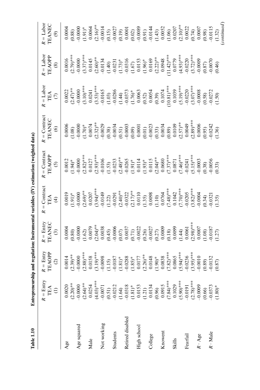Entrepreneurship and regulation: Instrumental variables (IV) estimation (weighted data) **Table 1.10 Entrepreneurship and regulation: Instrumental variables (IV) estimation (weighted data)**

**Table 1.10** 

*R*- Labor TEANEC TEA TEAOPP TEANEC TEA TEAOPP TEANEC TEA TEAOPP TEANEC  $(2.16)$ \*\* \*\*°(9.12) ∗°∗∞\*(2.04)° \*\*\*(2.04)∗°° (3.04)° \*\*\*(1.04)° \*\*\*(4.04)° \*\*\*\*(2.17)° \*\*\*\*(3.04)  $\frac{(1.06)}{0.0207}$ (5.90)∗∗∗ (5.94)∗∗∗ (1.44) (7.70)∗∗∗ (7.46)∗∗∗ (2.57)∗∗ (5.19)∗∗∗ (4.93)∗∗∗ (2.10)∗∗  $0.0004$ 0.0000  $1.91$ <sup>\*</sup>  $0.0064$ 0.0014  $-0.0089$  $(0.91)$ <br> $-0.0144$ 0.0052  $(2.10)$ \*\*  $-0.0115$ t00010 9.10010 220010 9.00010 2.10010 6.10010 t00010 t10010 0.0010 0.34で Age squared –0.0000 –0.0000 –0.0000 –0.0000 –0.0000 –0.0000 –0.0000 –0.0000 –0.0000 Male 0.0254 0.0158 0.0079 0.0207 0.0127 0.0074 0.0241 0.0145 0.0064 t100;0- t610;0- 9910;0- 9.000;0- 9.010;0- 9.010;0- 8.000;0- 8.000;0- 1.200;0- 9.1494 0.01494 0.01494  $(0.15)$ 0.0027 Students – 162010 – 1620101 – 1620101 – 1620101 – 1620101 – 1621 – 1621 – 1621 – 1621 – 1621 – 1621 – 1621 – 1  $0.0001$ 680010- 6.01010 6.90010 100010 t11010 0.11010 2.20010- 1.21010 5.51010 1.01010 1 t#10:0- 6910:0 ts:00:0 6.200:0- s s110:0 8600:0 1.200:0- 8+10:0 ts:10:0 aasil10:0 KNO910 0.0921202200 0.0915 0.09200 0.09200 0.09200 0.00000 0.00000 0.07600 0.07600 0.07600 0.0948 0.0948 0.094 Skills 0.1029 0.0865 0.0099 0.1042 0.0871 0.0109 0.1039 0.0779 0.0207 0.0022 70010 – 0.02010 – 0.02010 – 0.02010 – 1.0010 – 0.02010 – 0.02010 – 0.02010 – 0.0230 – 0.0220 – 0.0220 – 0.0220  $0.0007$ *R*  Age –0.0009 –0.0010 0.0007 –0.0004 –0.0003 0.0006 –0.0008 –0.0009 0.0007 8.11010-0.02010-0.022121 –0.02731 –0.027310-0.0321 –0.02731 –0.0272 –0.0272 –0.027<br>EXTO –0.027010-0.0272 –0.0272 –0.0272 –0.0272 –0.0272 –0.0272 –0.0272 –0.0272 –0.0272 –0.0272 –0.027  $(1.32)$  $(0.19)$ Retired disabled at the condition of the condition of the condition of the condition of the condition of the c<br>Condition of the condition of the condition of the condition of the condition of the condition of the conditio  $(0.02)$  $(1.43)$  $(0.74)$  $0.88)$ (2.64)∗∗ (2.88)∗∗∗ (1.62) (2.69)∗∗ (2.82)∗∗∗ (1.70)∗ (3.10)∗∗∗ (3.37)∗∗∗ (1.91)∗  $(0.98)$  $\widehat{\mathcal{O}}$ (38'O) ∗∗\*\*(δ'C) ∗\*\*(σ'O' \*\*\*(σ'O' (20'I) ∗(τό'I) ∗(16'I) (08'O) \*\*(6'C'2) \*\*(0.72) (stio) (0.51) (1.22) (1.223) (1.223) (1.404) (1.404) (1.404) (1.404) (1.404) (1.404) (1.404) (1.404) (61'0) «(2.1) (1.81) (1.81) (1.81) (1.81) (1.81) (1.81) (1.81) (1.81) (2010) (2.91)∗ (2.071) (2.0010) ∗€(1.611) ∗\*(1.77) (1.70) ∗ (2.77) \*(1.771) (16.0) ∗°(96.1) (1.220) (1.000 ∗€(66.1) (2.27) (0.0210) \*\*(0.272) (1.21) (0.96) (0.96°, (1.90°, (1.90°, 1.90°, (2.09°, 1.49°, 1.43°, 1.43°, 1.43°, 1.43°, 1.43°, 1.43°, 1.43°, 1.43°, 1 (7.82) ∗°∗° (1.84°×° (1.820) (7.84°×° (1.82) (1.82° (1.09° ° (1.08° ° ° ° 1.08° ° ° ° 1.08° ° ° 1.08 (2.78) ∗∗∗\*(2.75) ∗∗\* (2.95) ∗∗∗ (3.82) ∗∗∗ (3.97) ∗∗∗ (3.87) ∗∗∗ (3.87) ∗\*\* (3.07) ∗\*\* (3.07) (0.676) (0.879) (0.676) (0.879) (0.879) (0.879) (0.871) (0.871) (0.870) (0.970) (1.80) (1.80) (1.09°, (1.28°) (1.38°, (1.38°) (1.38°, (1.38°) (1.32°) (1.32°) (1.32°) (1.32°) (1.32°) (1.32°) (1.32°) (1.32°) (1.32°) (1.32°) (1.32°) (1.32°) (1.32°) (1.32°) (1.32°) (1.32°) (1.32°) (1.32°) (1.32°) (1.32°) (6) (2) (6) (6) (5) (5) (5) (6) (6) (7) (7) (7)  $(2.79)$ \*\*\* *R*- Labor  $(11.42)^***$  $3.72$ <sup>\*\*\*</sup>  $(3.37)$ \*\*\*  $(4.93)$ \*\*\* **TEAOPP**  $(1.96)^*$ <br>0.0169  $(2.22)$ \*\* 0.0016  $0.0000$ 0.0145  $(2.60)$ \*\*  $(1.73)^*$ <br>-0.0316 0.0948 0.0779 0.0220 0.0009 0.0134 0.0231 0.0153  $0.0070$  $(1.40)$  $(1.67)$  $(0.87)$  $0.46)$  $\circledS$ *R*- Labor  $(5.19)$ \*\*\*  $(3.53)$ \*\*\*  $(0.81)^{***}$  $3.07$ <sup>\*\*\*</sup>  $3.10$ <sup>\*\*\*</sup>  $2.47$ <sup>\*\*</sup>  $0.0000$  $0.0241$ 0.0165 0.0286  $-0.0373$ <br>(1.76)\* 0.0054 0.1074 0.1039 0.0220 0.0008 TEA 0.0022 0.0063 0.0272  $(1.03)$  $(1.44)$  $(0.52)$  $(0.39)$  $(0.58)$  $\widehat{C}$ 1.50) Contract **TEANEC**  $2.89$ <sup>\*\*\*</sup>  $(2.57)$ \*\*  $(2.32)$ \*\*  $\begin{array}{c} (0.33) \\ 0.0034 \end{array}$  $(0.89)$ <br>0.0109 0.0049 0.0006  $0.0000$ 0.0074  $-0.0029$  $-0.0034$  $-0.0003$  $0.0001$  $(0.01)$ <br> $-0.0023$  $0.0006$  $-0.0242$  $(1.70)*$  $\circledcirc$  $(0.38)$  $(0.51)$  $(0.09)$ 1.08)  $(0.95)$  $1.36$ *R*- Contract TEAOPP  $2.82$ <sup>\*\*\*</sup>  $(7.37)$ \*\*\*  $(5.15)$ \*\*\*  $(2.93)***$  $(7.46)$ \*\*\*  $(2.48)$ \*\*  $(1.91)^*$  $(2.04)$ \*\*  $0.0000$ 0.0127 0.0106 0.0233 0.0114 0.0115 0.0871  $0.0241$ 0.0012  $1.94$ <sup>\*</sup>  $(1.93)*$ 0.0003 0.0056  $(1.53)$  $(0.38)$  $0.33)$  $\overline{c}$ *R* Contract Contract  $\frac{0.1042}{7.70}$  $(3.94)$ \*\*\*  $7.48$ )\*\*\*  $3.82$ <sup>\*\*\*</sup>  $(2.17)$ \*\*  $(2.69)$ \*\*  $(2.40)$ \*\*  $(1.35)$ <br>0.0098 0.0205 0.0019  $0.0000$ 0.0207 0.0149  $0.0291$ 0.0322 0.0110 0.0764  $0.0004$  $1.91)$ \*  $(1.22)$  $(1.10)$ 0.0321 TEA  $(0.34)$ 1.35)  $\widehat{t}$ *R R*- Entry  $2.98$ <sup>\*\*\*</sup>  $(2.04)$ \*\* 0.0004  $0.0000$ 0.0079 0.0038  $-0.0006$ 0.0037  $-0.0022$  $-0.0027$ 0.0009 0.0099 0.0061 0.0007 0.0187  $(0.80)$  $(1.62)$  $(0.45)$  $(0.07)$  $(0.71)$  $(0.26)$  $(0.27)$  $(0.18)$  $1.44$ 1.08)  $\odot$  $1.27$ - Entry  $(2.88)$ \*\*\*  $(3.19)$ \*\*\*  $7.82$ )\*\*\* 5.94)\*\*\*  $3.95$ <sup>\*\*\*</sup>  $(2.26)$ \*\* 0.0865  $0.0014$  $(2.39)$ \*\*  $0.0000$ 0.0158 0.0098 0.0187  $(1.81)^*$ <br>-0.0288<br>(1.85)\* 0.0177 0.0148 0.0838 0.0236 0.0010  $(1.90)*$ 0.0132  $(1.15)$  $(0.89)$  $\widehat{\mathcal{O}}$  $(0.87)$ *R*  $R =$  Entry  $(7.84)$ \*\*\*  $4.03$ <sup>\*\*\*</sup>  $5.90$ <sup>\*\*\*</sup>  $2.78$ <sup>\*\*\*</sup>  $2.20$ )\*\*  $2.64$ <sup>\*\*</sup>  $0.0000$ 0.0254 0.0212  $-0.0318$ 0.0915 0.1029 0.0191 0.0009 TEA 0.0020 0.0071  $(1.81)$ \* 0.0153 0.0134 0.0373  $(1.80)$ \*  $\ominus$  $(0.51)$  $(1.64)$  $(1.21)$  $(0.96)$  $0.66$ Retired disabled Not working Age squared High school Students  $R \cdot$  Male Knowen  $R \cdot \text{Age}$ College Fearfail Male Skills Age

(*continued* ) $cortined$ )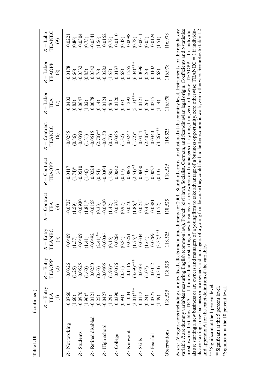| Table 1.10                                                                                                                                                          | (continued)                                |                                                                                                                                                                                                                                                                                                               |                                  |                           |                                                                                                                                                                                                                                                                                                                         |                                                                                                                                                                                                                                                                                                                       |                                                                                                                                                                                                                                                                   |                                                                                                                                                                                                                                                                                                             |                                                                                                                                                                                                                                                                    |
|---------------------------------------------------------------------------------------------------------------------------------------------------------------------|--------------------------------------------|---------------------------------------------------------------------------------------------------------------------------------------------------------------------------------------------------------------------------------------------------------------------------------------------------------------|----------------------------------|---------------------------|-------------------------------------------------------------------------------------------------------------------------------------------------------------------------------------------------------------------------------------------------------------------------------------------------------------------------|-----------------------------------------------------------------------------------------------------------------------------------------------------------------------------------------------------------------------------------------------------------------------------------------------------------------------|-------------------------------------------------------------------------------------------------------------------------------------------------------------------------------------------------------------------------------------------------------------------|-------------------------------------------------------------------------------------------------------------------------------------------------------------------------------------------------------------------------------------------------------------------------------------------------------------|--------------------------------------------------------------------------------------------------------------------------------------------------------------------------------------------------------------------------------------------------------------------|
|                                                                                                                                                                     | $=\frac{\textrm{Entry}}{\textrm{TEM}}$ TEA | $R =$ Entry<br>TEAOPP<br>$\odot$                                                                                                                                                                                                                                                                              | $R =$ Entry<br>TEANEC<br>$\odot$ | Contract<br>দ<br>∉ ⊕<br>ī | $=$ Contract<br>TEAOPP<br>$\odot$                                                                                                                                                                                                                                                                                       | $R =$ Contract<br><b>TEANE</b><br>$\circledcirc$                                                                                                                                                                                                                                                                      | $R =$ Labor<br>TEA<br>(7)                                                                                                                                                                                                                                         | $R = \text{Labor}$ TEAOPP<br>$\circledast$                                                                                                                                                                                                                                                                  | R = Labor<br>TEANEC<br>$\widehat{\mathfrak{G}}$                                                                                                                                                                                                                    |
| R · Not working                                                                                                                                                     |                                            |                                                                                                                                                                                                                                                                                                               |                                  |                           |                                                                                                                                                                                                                                                                                                                         |                                                                                                                                                                                                                                                                                                                       |                                                                                                                                                                                                                                                                   |                                                                                                                                                                                                                                                                                                             |                                                                                                                                                                                                                                                                    |
| $R \cdot$ Students                                                                                                                                                  |                                            |                                                                                                                                                                                                                                                                                                               |                                  |                           |                                                                                                                                                                                                                                                                                                                         |                                                                                                                                                                                                                                                                                                                       |                                                                                                                                                                                                                                                                   |                                                                                                                                                                                                                                                                                                             |                                                                                                                                                                                                                                                                    |
| R · Retired disabled                                                                                                                                                |                                            |                                                                                                                                                                                                                                                                                                               |                                  |                           |                                                                                                                                                                                                                                                                                                                         |                                                                                                                                                                                                                                                                                                                       |                                                                                                                                                                                                                                                                   |                                                                                                                                                                                                                                                                                                             |                                                                                                                                                                                                                                                                    |
| R · High school                                                                                                                                                     |                                            |                                                                                                                                                                                                                                                                                                               |                                  |                           |                                                                                                                                                                                                                                                                                                                         |                                                                                                                                                                                                                                                                                                                       |                                                                                                                                                                                                                                                                   |                                                                                                                                                                                                                                                                                                             |                                                                                                                                                                                                                                                                    |
| $R \cdot$ College                                                                                                                                                   |                                            |                                                                                                                                                                                                                                                                                                               |                                  |                           |                                                                                                                                                                                                                                                                                                                         |                                                                                                                                                                                                                                                                                                                       |                                                                                                                                                                                                                                                                   |                                                                                                                                                                                                                                                                                                             |                                                                                                                                                                                                                                                                    |
| R · Knowent                                                                                                                                                         |                                            |                                                                                                                                                                                                                                                                                                               |                                  |                           |                                                                                                                                                                                                                                                                                                                         |                                                                                                                                                                                                                                                                                                                       |                                                                                                                                                                                                                                                                   |                                                                                                                                                                                                                                                                                                             |                                                                                                                                                                                                                                                                    |
| $R \cdot$ Skills                                                                                                                                                    |                                            |                                                                                                                                                                                                                                                                                                               |                                  |                           |                                                                                                                                                                                                                                                                                                                         |                                                                                                                                                                                                                                                                                                                       |                                                                                                                                                                                                                                                                   |                                                                                                                                                                                                                                                                                                             |                                                                                                                                                                                                                                                                    |
| R · Fearfail                                                                                                                                                        |                                            | $\begin{array}{l} 0.326 \\ 0.25 \\ 0.65 \\ 0.65 \\ 0.67 \\ 0.67 \\ 0.67 \\ 0.67 \\ 0.67 \\ 0.67 \\ 0.67 \\ 0.67 \\ 0.67 \\ 0.67 \\ 0.67 \\ 0.67 \\ 0.67 \\ 0.67 \\ 0.67 \\ 0.67 \\ 0.67 \\ 0.67 \\ 0.67 \\ 0.67 \\ 0.67 \\ 0.67 \\ 0.67 \\ 0.67 \\ 0.67 \\ 0.67 \\ 0.67 \\ 0.67 \\ 0.67 \\ 0.67 \\ 0.67 \\ 0$ |                                  |                           | $\begin{array}{l} \n7* & 8\\ \n7* & 9\\ \n7* & 9\\ \n8* & 9\\ \n9* & 9\\ \n9* & 9\\ \n1* & 9\\ \n1* & 9\\ \n1* & 9\\ \n1* & 9\\ \n1* & 9\\ \n1* & 9\\ \n1* & 9\\ \n1* & 9\\ \n1* & 9\\ \n1* & 9\\ \n1* & 9\\ \n1* & 9\\ \n1* & 9\\ \n1* & 9\\ \n1* & 9\\ \n1* & 9\\ \n1* & 9\\ \n1* & 9\\ \n1* & 9\\ \n1* & 9\\ \n1* &$ | $\begin{array}{l} 0.0285 \\ 0.86) \\ 0.0390 \\ -0.0511 \\ -0.0515 \\ -0.0159 \\ -0.0159 \\ -0.038 \\ -0.038 \\ -0.0247 \\ -0.0454 \\ -0.0049 \\ -0.0047 \\ -0.0049 \\ -0.0049 \\ +0.0049 \\ -0.0049 \\ -0.0049 \\ -0.0040 \\ -0.0040 \\ -0.0040 \\ -0.0040 \\ -0.0040 \\ -0.0040 \\ -0.0040 \\ -0.0040 \\ -0.0040 \\$ | $\begin{array}{l} 0.0402\\ 0.831\\ 0.0647\\ 0.0064\\ 0.0000\\ 0.0000\\ 0.0000\\ 0.0000\\ 0.0000\\ 0.0000\\ 0.0000\\ 0.0000\\ 0.0000\\ 0.0000\\ 0.0000\\ 0.0000\\ 0.0014\\ 0.0000\\ 0.0114\\ 0.0000\\ 0.0114\\ 0.0000\\ 0.0114\\ 0.0000\\ 0.0114\\ 0.0000\\ 0.011$ | $\begin{array}{l} 0.078 \\ 0.66 \\ 0.332 \\ 0.353 \\ 0.363 \\ 0.37 \\ 0.66 \\ 0.67 \\ 0.76 \\ 0.83 \\ 0.76 \\ 0.83 \\ 0.73 \\ 0.33 \\ 0.37 \\ 0.33 \\ 0.37 \\ 0.33 \\ 0.37 \\ 0.38 \\ 0.39 \\ 0.39 \\ 0.30 \\ 0.30 \\ 0.30 \\ 0.30 \\ 0.30 \\ 0.30 \\ 0.30 \\ 0.30 \\ 0.30 \\ 0.30 \\ 0.30 \\ 0.30 \\ 0.30$ | $\begin{array}{l} 0.021\\ 0.86)\\ 0.0304\\ 0.073)\\ 0.0131\\ 0.0132\\ 0.0132\\ 0.0132\\ 0.0132\\ 0.0000\\ 0.0000\\ 0.0000\\ 0.0000\\ 0.0000\\ 0.011\\ 0.0131\\ 0.011\\ 0.0131\\ 0.0131\\ 0.0131\\ 0.0131\\ 0.0131\\ 0.0131\\ 0.0131\\ 0.0131\\ 0.0131\\ 0.0131\\ $ |
| Observations                                                                                                                                                        | 525<br>118.                                | 118,525                                                                                                                                                                                                                                                                                                       | 18,525                           | 18,525                    | 118,525                                                                                                                                                                                                                                                                                                                 | 118,525                                                                                                                                                                                                                                                                                                               | 16,978                                                                                                                                                                                                                                                            | 16,978                                                                                                                                                                                                                                                                                                      | 16,978                                                                                                                                                                                                                                                             |
| Notes: IV regressions including country fixed effects and a time dummy for 2001. Standard errors are clustered at the country level. Instruments for the regulatory |                                            |                                                                                                                                                                                                                                                                                                               |                                  |                           |                                                                                                                                                                                                                                                                                                                         |                                                                                                                                                                                                                                                                                                                       |                                                                                                                                                                                                                                                                   |                                                                                                                                                                                                                                                                                                             |                                                                                                                                                                                                                                                                    |

(continued)

**Table 1.10** 

variable *R* are dummy variables measuring English (common law), French (civil law), Socialist, German, and Scandinavian legal origin. Coefficients and *t*- statistics are shown in the tables. TEA = 1 if individuals are starting a new business or are owners and managers of a young firm, zero otherwise; TEAOPP = 1 if individuals are starting a new business or are owners and managers of a young firm to take advantage of a business opportunity, zero otherwise; TEANEC = 1 if individuals are starting a new business or are owners and managers of a young firm because they could find no better economic work, zero otherwise. See notes to table 1.2 als are starting a new business or are owners and managers of a young firm because they could find no better economic work, zero otherwise. See notes to table 1.2 variable R are dummy variables measuring English (common law), French (civil law), Socialist, German, and Scandinavian legal origin. Coefficients and Astatistics 1 if individu- 1 if individu- 1 if individuals are starting a new business or are owners and managers of a young fi rm, zero otherwise; TEAOPP als are starting a new business or are owners and managers of a young firm to take advantage of a business opportunity, zero otherwise; TEANEC = and appendix A for the exact definition of the variables. and appendix A for the exact definition of the variables. are shown in the tables. TEA  $=$ 

\*\*\* Significant at the 1 percent level. ∗∗∗Signifi cant at the 1 percent level.

\*\*Significant at the 5 percent level. ∗∗Signifi cant at the 5 percent level.

\*Significant at the 10 percent level. ∗Signifi cant at the 10 percent level.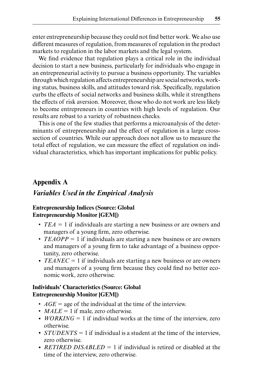enter entrepreneurship because they could not find better work. We also use different measures of regulation, from measures of regulation in the product markets to regulation in the labor markets and the legal system.

We find evidence that regulation plays a critical role in the individual decision to start a new business, particularly for individuals who engage in an entrepreneurial activity to pursue a business opportunity. The variables through which regulation affects entrepreneurship are social networks, working status, business skills, and attitudes toward risk. Specifically, regulation curbs the effects of social networks and business skills, while it strengthens the effects of risk aversion. Moreover, those who do not work are less likely to become entrepreneurs in countries with high levels of regulation. Our results are robust to a variety of robustness checks.

This is one of the few studies that performs a microanalysis of the determinants of entrepreneurship and the effect of regulation in a large cross section of countries. While our approach does not allow us to measure the total effect of regulation, we can measure the effect of regulation on individual characteristics, which has important implications for public policy.

# **Appendix A**

# *Variables Used in the Empirical Analysis*

# **Entrepreneurship Indices (Source: Global Entrepreneurship Monitor [GEM])**

- *TEA* = 1 if individuals are starting a new business or are owners and managers of a young firm, zero otherwise.
- *TEAOPP* = 1 if individuals are starting a new business or are owners and managers of a young firm to take advantage of a business opportunity, zero otherwise.
- *TEANEC* = 1 if individuals are starting a new business or are owners and managers of a young firm because they could find no better economic work, zero otherwise.

### **Individuals' Characteristics (Source: Global Entrepreneurship Monitor [GEM])**

- $\bullet$  *AGE* = age of the individual at the time of the interview.
- $MALE = 1$  if male, zero otherwise.
- *WORKING* = 1 if individual works at the time of the interview, zero otherwise.
- *STUDENTS* = 1 if individual is a student at the time of the interview, zero otherwise.
- *RETIRED DISABLED* = 1 if individual is retired or disabled at the time of the interview, zero otherwise.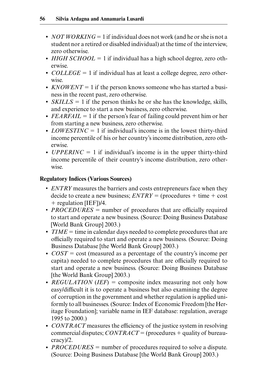- *NOT WORKING* = 1 if individual does not work (and he or she is not a student nor a retired or disabled individual) at the time of the interview, zero otherwise.
- *HIGH SCHOOL* = 1 if individual has a high school degree, zero otherwise.
- *COLLEGE* = 1 if individual has at least a college degree, zero otherwise.
- $KNOWENT = 1$  if the person knows someone who has started a business in the recent past, zero otherwise.
- *SKILLS* = 1 if the person thinks he or she has the knowledge, skills, and experience to start a new business, zero otherwise.
- *FEARFAIL* = 1 if the person's fear of failing could prevent him or her from starting a new business, zero otherwise.
- *LOWESTINC* = 1 if individual's income is in the lowest thirty-third income percentile of his or her country's income distribution, zero otherwise.
- *UPPERINC* = 1 if individual's income is in the upper thirty-third income percentile of their country's income distribution, zero otherwise.

# **Regulatory Indices (Various Sources)**

- *ENTRY* measures the barriers and costs entrepreneurs face when they decide to create a new business;  $ENTRY = (procedures + time + cost$  $+$  regulation [IEF])/4.
- PROCEDURES = number of procedures that are officially required to start and operate a new business. (Source: Doing Business Database [World Bank Group] 2003.)
- *TIME* = time in calendar days needed to complete procedures that are officially required to start and operate a new business. (Source: Doing Business Database [the World Bank Group] 2003.)
- *COST* = cost (measured as a percentage of the country's income per capita) needed to complete procedures that are officially required to start and operate a new business. (Source: Doing Business Database [the World Bank Group] 2003.)
- *REGULATION* (*IEF*) = composite index measuring not only how easy/ difficult it is to operate a business but also examining the degree of corruption in the government and whether regulation is applied uniformly to all businesses. (Source: Index of Economic Freedom [the Heritage Foundation]; variable name in IEF database: regulation, average 1995 to 2000.)
- • *CONTRACT* measures the efficiency of the justice system in resolving  $\text{commercial}\ \text{disputes}; \text{CONTRACT} = (\text{procedures} + \text{quality}\ \text{of}\ \text{bureau-})$  $cracy)/2.$
- *PROCEDURES* = number of procedures required to solve a dispute. (Source: Doing Business Database [the World Bank Group] 2003.)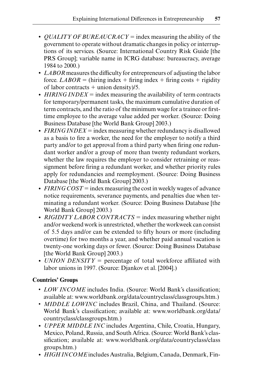- *QUALITY OF BUREAUCRACY* = index measuring the ability of the government to operate without dramatic changes in policy or interruptions of its services. (Source: International Country Risk Guide [the PRS Group]; variable name in ICRG database: bureaucracy, average 1984 to 2000.)
- • *LABOR* measures the difficulty for entrepreneurs of adjusting the labor force.  $LABOR =$  (hiring index  $+$  firing index  $+$  firing costs  $+$  rigidity of labor contracts  $+$  union density)/5.
- $HIRING INDEX = index measuring the availability of term contracts$ for temporary/permanent tasks, the maximum cumulative duration of term contracts, and the ratio of the minimum wage for a trainee or first time employee to the average value added per worker. (Source: Doing Business Database [the World Bank Group] 2003.)
- FIRING INDEX = index measuring whether redundancy is disallowed as a basis to fire a worker, the need for the employer to notify a third party and/or to get approval from a third party when firing one redundant worker and/or a group of more than twenty redundant workers, whether the law requires the employer to consider retraining or reassignment before firing a redundant worker, and whether priority rules apply for redundancies and reemployment. (Source: Doing Business Database [the World Bank Group] 2003.)
- *FIRING COST* = index measuring the cost in weekly wages of advance notice requirements, severance payments, and penalties due when terminating a redundant worker. (Source: Doing Business Database [the World Bank Group] 2003.)
- *RIGIDITY LABOR CONTRACTS* = index measuring whether night and/or weekend work is unrestricted, whether the workweek can consist of 5.5 days and/or can be extended to fifty hours or more (including overtime) for two months a year, and whether paid annual vacation is twenty-one working days or fewer. (Source: Doing Business Database [the World Bank Group] 2003.)
- *UNION DENSITY* = percentage of total workforce affiliated with labor unions in 1997. (Source: Djankov et al. [2004].)

# **Countries' Groups**

- *LOW INCOME* includes India. (Source: World Bank's classification; available at: www.worldbank.org/data/countryclass/classgroups.htm.)
- **MIDDLE LOWINC** includes Brazil, China, and Thailand. (Source: World Bank's classification; available at: www.worldbank.org/data/ countryclass/classgroups.htm.)
- • *UPPER MIDDLE INC* includes Argentina, Chile, Croatia, Hungary, Mexico, Poland, Russia, and South Africa. (Source: World Bank's classification; available at: www.worldbank.org/data/countryclass/class groups.htm.)
- • *HIGH INCOME* includes Australia, Belgium, Canada, Denmark, Fin-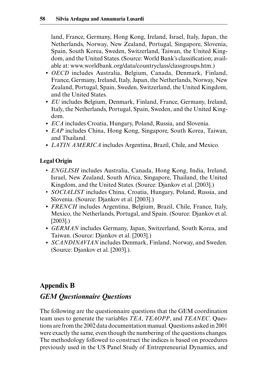land, France, Germany, Hong Kong, Ireland, Israel, Italy, Japan, the Netherlands, Norway, New Zealand, Portugal, Singapore, Slovenia, Spain, South Korea, Sweden, Switzerland, Taiwan, the United Kingdom, and the United States. (Source: World Bank's classification; available at: www.worldbank.org/data/countryclass/classgroups.htm.)

- • *OECD* includes Australia, Belgium, Canada, Denmark, Finland, France, Germany, Ireland, Italy, Japan, the Netherlands, Norway, New Zealand, Portugal, Spain, Sweden, Switzerland, the United Kingdom, and the United States.
- • *EU* includes Belgium, Denmark, Finland, France, Germany, Ireland, Italy, the Netherlands, Portugal, Spain, Sweden, and the United Kingdom.
- • *ECA* includes Croatia, Hungary, Poland, Russia, and Slovenia.
- • *EAP* includes China, Hong Kong, Singapore, South Korea, Taiwan, and Thailand.
- • *LATIN AMERICA* includes Argentina, Brazil, Chile, and Mexico.

# **Legal Origin**

- *ENGLISH* includes Australia, Canada, Hong Kong, India, Ireland, Israel, New Zealand, South Africa, Singapore, Thailand, the United Kingdom, and the United States. (Source: Djankov et al. [2003].)
- *SOCIALIST* includes China, Croatia, Hungary, Poland, Russia, and Slovenia. (Source: Djankov et al. [2003].)
- • *FRENCH* includes Argentina, Belgium, Brazil, Chile, France, Italy, Mexico, the Netherlands, Portugal, and Spain. (Source: Djankov et al. [2003].)
- • *GERMAN* includes Germany, Japan, Switzerland, South Korea, and Taiwan. (Source: Djankov et al. [2003].)
- • *SCANDINAVIAN* includes Denmark, Finland, Norway, and Sweden. (Source: Djankov et al. [2003].).

# **Appendix B** *GEM Questionnaire Questions*

The following are the questionnaire questions that the GEM coordination team uses to generate the variables *TEA*, *TEAOPP*, and *TEANEC*. Questions are from the 2002 data documentation manual. Questions asked in 2001 were exactly the same, even though the numbering of the questions changes. The methodology followed to construct the indices is based on procedures previously used in the US Panel Study of Entrepreneurial Dynamics, and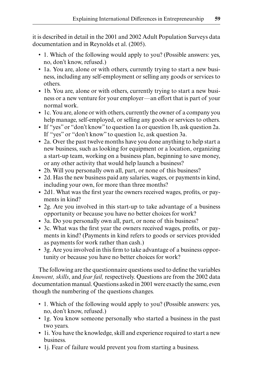it is described in detail in the 2001 and 2002 Adult Population Surveys data documentation and in Reynolds et al. (2005).

- 1. Which of the following would apply to you? (Possible answers: yes, no, don't know, refused.)
- 1a. You are, alone or with others, currently trying to start a new business, including any self- employment or selling any goods or services to others.
- 1b. You are, alone or with others, currently trying to start a new business or a new venture for your employer—an effort that is part of your normal work.
- 1c. You are, alone or with others, currently the owner of a company you help manage, self-employed, or selling any goods or services to others.
- If "yes" or "don't know" to question 1a or question 1b, ask question 2a. If "yes" or "don't know" to question 1c, ask question 3a.
- 2a. Over the past twelve months have you done anything to help start a new business, such as looking for equipment or a location, organizing a start-up team, working on a business plan, beginning to save money, or any other activity that would help launch a business?
- 2b. Will you personally own all, part, or none of this business?
- 2d. Has the new business paid any salaries, wages, or payments in kind, including your own, for more than three months?
- 2d1. What was the first year the owners received wages, profits, or payments in kind?
- 2g. Are you involved in this start-up to take advantage of a business opportunity or because you have no better choices for work?
- 3a. Do you personally own all, part, or none of this business?
- 3c. What was the first year the owners received wages, profits, or payments in kind? (Payments in kind refers to goods or services provided as payments for work rather than cash.)
- 3g. Are you involved in this firm to take advantage of a business opportunity or because you have no better choices for work?

The following are the questionnaire questions used to define the variables *knowent, skills*, and *fear fail,* respectively. Questions are from the 2002 data documentation manual. Questions asked in 2001 were exactly the same, even though the numbering of the questions changes.

- 1. Which of the following would apply to you? (Possible answers: yes, no, don't know, refused.)
- 1g. You know someone personally who started a business in the past two years.
- 1i. You have the knowledge, skill and experience required to start a new business.
- 1j. Fear of failure would prevent you from starting a business.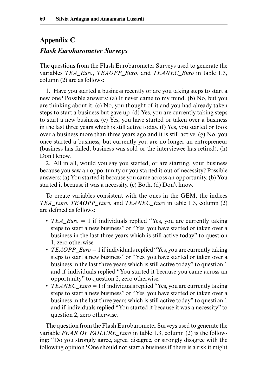# **Appendix C** *Flash Eurobarometer Surveys*

The questions from the Flash Eurobarometer Surveys used to generate the variables *TEA\_Euro*, *TEAOPP\_Euro*, and *TEANEC\_Euro* in table 1.3, column (2) are as follows:

1. Have you started a business recently or are you taking steps to start a new one? Possible answers: (a) It never came to my mind. (b) No, but you are thinking about it. (c) No, you thought of it and you had already taken steps to start a business but gave up. (d) Yes, you are currently taking steps to start a new business. (e) Yes, you have started or taken over a business in the last three years which is still active today. (f) Yes, you started or took over a business more than three years ago and it is still active. (g) No, you once started a business, but currently you are no longer an entrepreneur (business has failed, business was sold or the interviewee has retired). (h) Don't know.

2. All in all, would you say you started, or are starting, your business because you saw an opportunity or you started it out of necessity? Possible answers: (a) You started it because you came across an opportunity. (b) You started it because it was a necessity. (c) Both. (d) Don't know.

To create variables consistent with the ones in the GEM, the indices *TEA\_Euro, TEAOPP\_Euro,* and *TEANEC\_Euro* in table 1.3, column (2) are defined as follows:

- *TEA\_Euro* = 1 if individuals replied "Yes, you are currently taking steps to start a new business" or "Yes, you have started or taken over a business in the last three years which is still active today" to question 1, zero otherwise.
- *TEAOPP\_Euro* = 1 if individuals replied "Yes, you are currently taking steps to start a new business" or "Yes, you have started or taken over a business in the last three years which is still active today" to question 1 and if individuals replied "You started it because you came across an opportunity" to question 2, zero otherwise.
- $TEANCE\_Func = 1$  if individuals replied "Yes, you are currently taking steps to start a new business" or "Yes, you have started or taken over a business in the last three years which is still active today" to question 1 and if individuals replied "You started it because it was a necessity" to question 2, zero otherwise.

The question from the Flash Eurobarometer Surveys used to generate the variable *FEAR OF FAILURE\_Euro* in table 1.3, column (2) is the following: "Do you strongly agree, agree, disagree, or strongly disagree with the following opinion? One should not start a business if there is a risk it might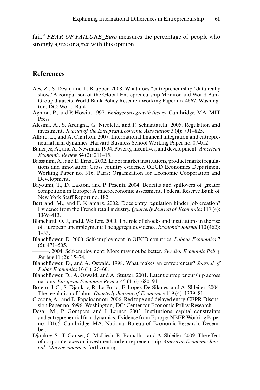fail." *FEAR OF FAILURE\_Euro* measures the percentage of people who strongly agree or agree with this opinion.

# **References**

- Acs, Z., S. Desai, and L. Klapper. 2008. What does "entrepreneurship" data really show? A comparison of the Global Entrepreneurship Monitor and World Bank Group datasets. World Bank Policy Research Working Paper no. 4667. Washington, DC: World Bank.
- Aghion, P., and P. Howitt. 1997. *Endogenous growth theory.* Cambridge, MA: MIT Press.
- Alesina, A., S. Ardagna, G. Nicoletti, and F. Schiantarelli. 2005. Regulation and investment. *Journal of the European Economic Association* 3 (4): 791–825.
- Alfaro, L., and A. Charlton. 2007. International financial integration and entrepreneurial firm dynamics. Harvard Business School Working Paper no. 07-012.
- Banerjee, A., and A. Newman. 1994. Poverty, incentives, and development. *American Economic Review* 84 (2): 211-15.
- Bassanini, A., and E. Ernst. 2002. Labor market institutions, product market regulations and innovation: Cross country evidence. OECD Economics Department Working Paper no. 316. Paris: Organization for Economic Cooperation and Development.
- Bayoumi, T., D. Laxton, and P. Pesenti. 2004. Benefits and spillovers of greater competition in Europe: A macroeconomic assessment. Federal Reserve Bank of New York Staff Report no. 182.
- Bertrand, M., and F. Kramarz. 2002. Does entry regulation hinder job creation? Evidence from the French retail industry. *Quarterly Journal of Economics* 117 (4): 1369– 413.
- Blanchard, O. J., and J. Wolfers. 2000. The role of shocks and institutions in the rise of European unemployment: The aggregate evidence. *Economic Journal* 110 (462):  $1 - 33.$
- Blanchflower, D. 2000. Self-employment in OECD countries. *Labour Economics* 7  $(5): 471 - 505.$

———. 2004. Self- employment: More may not be better. *Swedish Economic Policy Review* 11 (2): 15–74.

- Blanchfl ower, D., and A. Oswald. 1998. What makes an entrepreneur? *Journal of Labor Economics* 16 (1): 26–60.
- Blanchflower, D., A. Oswald, and A. Stutzer. 2001. Latent entrepreneurship across nations. *European Economic Review* 45 (4–6): 680–91.
- Botero, J. C., S. Djankov, R. La Porta, F. Lopez-De-Silanes, and A. Shleifer. 2004. The regulation of labor. *Quarterly Journal of Economics* 119 (4): 1339–81.
- Ciccone, A., and E. Papaioannou. 2006. Red tape and delayed entry. CEPR Discussion Paper no. 5996. Washington, DC: Center for Economic Policy Research.
- Desai, M., P. Gompers, and J. Lerner. 2003. Institutions, capital constraints and entrepreneurial firm dynamics: Evidence from Europe. NBER Working Paper no. 10165. Cambridge, MA: National Bureau of Economic Research, December.
- Djankov, S., T. Ganser, C. McLiesh, R. Ramalho, and A. Shleifer. 2009. The effect of corporate taxes on investment and entrepreneurship. *American Economic Journal: Macroeconomics,* forthcoming.